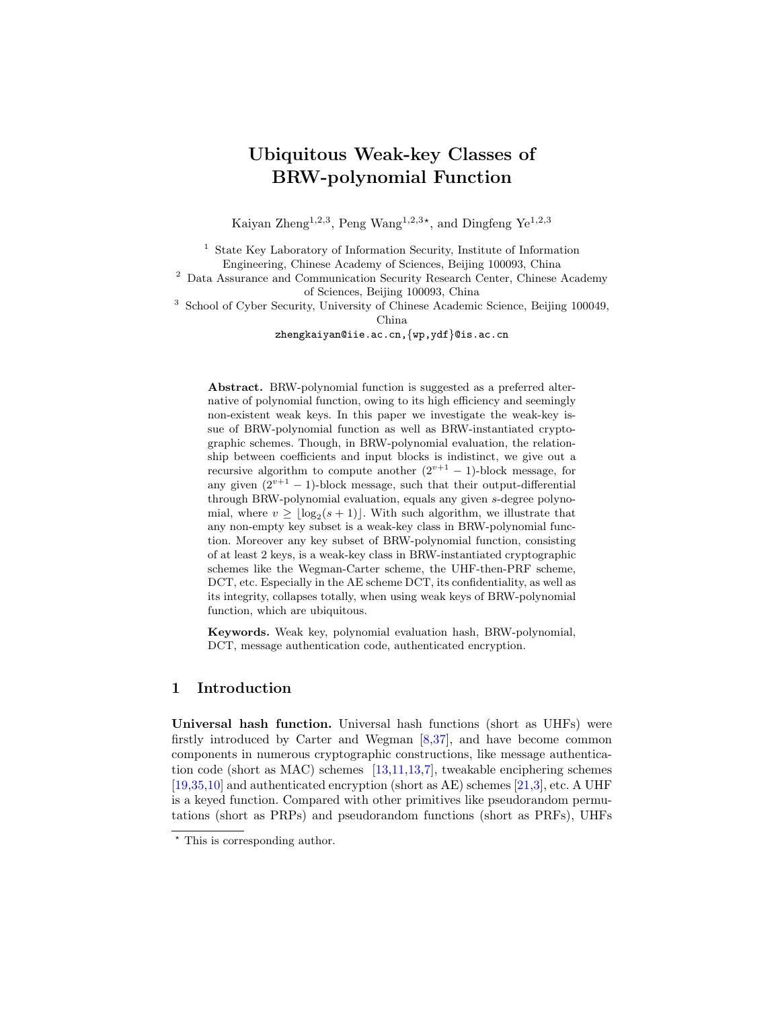# <span id="page-0-0"></span>Ubiquitous Weak-key Classes of BRW-polynomial Function

Kaiyan Zheng<sup>1,2,3</sup>, Peng Wang<sup>1,2,3\*</sup>, and Dingfeng Ye<sup>1,2,3</sup>

<sup>1</sup> State Key Laboratory of Information Security, Institute of Information Engineering, Chinese Academy of Sciences, Beijing 100093, China

<sup>2</sup> Data Assurance and Communication Security Research Center, Chinese Academy of Sciences, Beijing 100093, China

<sup>3</sup> School of Cyber Security, University of Chinese Academic Science, Beijing 100049, China

zhengkaiyan@iie.ac.cn,{wp,ydf}@is.ac.cn

Abstract. BRW-polynomial function is suggested as a preferred alternative of polynomial function, owing to its high efficiency and seemingly non-existent weak keys. In this paper we investigate the weak-key issue of BRW-polynomial function as well as BRW-instantiated cryptographic schemes. Though, in BRW-polynomial evaluation, the relationship between coefficients and input blocks is indistinct, we give out a recursive algorithm to compute another  $(2^{v+1} - 1)$ -block message, for any given  $(2^{v+1} - 1)$ -block message, such that their output-differential through BRW-polynomial evaluation, equals any given s-degree polynomial, where  $v \geq \lfloor \log_2(s+1) \rfloor$ . With such algorithm, we illustrate that any non-empty key subset is a weak-key class in BRW-polynomial function. Moreover any key subset of BRW-polynomial function, consisting of at least 2 keys, is a weak-key class in BRW-instantiated cryptographic schemes like the Wegman-Carter scheme, the UHF-then-PRF scheme, DCT, etc. Especially in the AE scheme DCT, its confidentiality, as well as its integrity, collapses totally, when using weak keys of BRW-polynomial function, which are ubiquitous.

Keywords. Weak key, polynomial evaluation hash, BRW-polynomial, DCT, message authentication code, authenticated encryption.

## 1 Introduction

Universal hash function. Universal hash functions (short as UHFs) were firstly introduced by Carter and Wegman [\[8](#page-15-0)[,37\]](#page-17-0), and have become common components in numerous cryptographic constructions, like message authentication code (short as MAC) schemes  $[13,11,13,7]$  $[13,11,13,7]$  $[13,11,13,7]$  $[13,11,13,7]$ , tweakable enciphering schemes  $[19,35,10]$  $[19,35,10]$  $[19,35,10]$  and authenticated encryption (short as AE) schemes  $[21,3]$  $[21,3]$ , etc. A UHF is a keyed function. Compared with other primitives like pseudorandom permutations (short as PRPs) and pseudorandom functions (short as PRFs), UHFs

<sup>?</sup> This is corresponding author.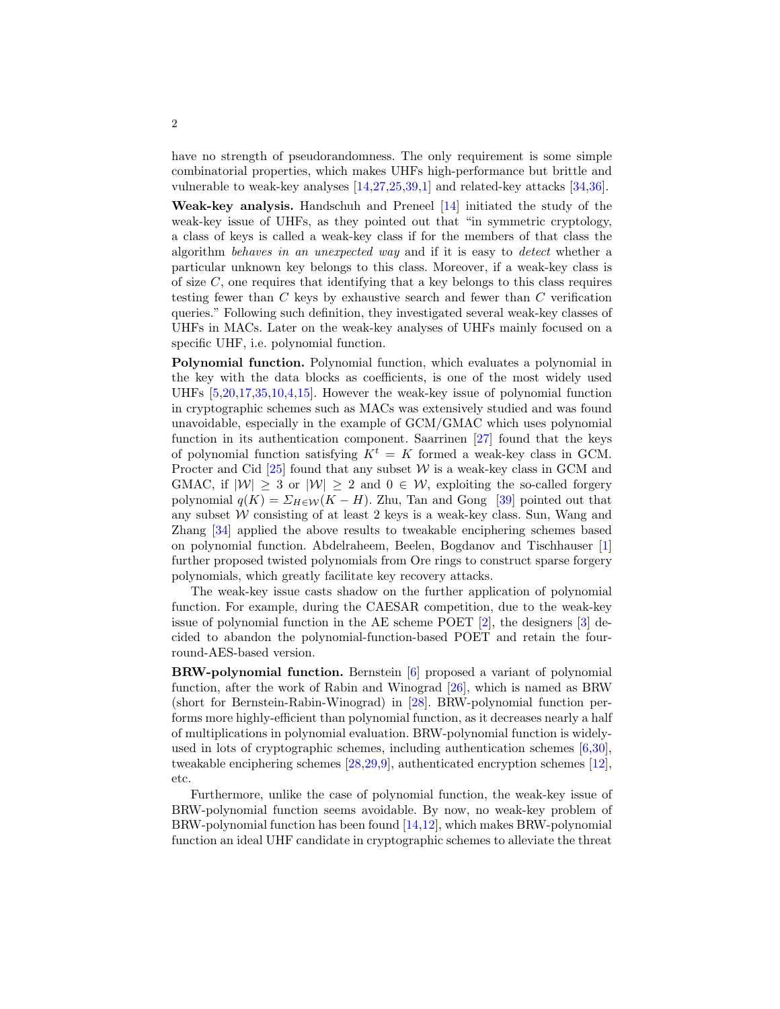<span id="page-1-0"></span>have no strength of pseudorandomness. The only requirement is some simple combinatorial properties, which makes UHFs high-performance but brittle and vulnerable to weak-key analyses [\[14,](#page-15-6)[27,](#page-16-2)[25,](#page-16-3)[39](#page-17-2)[,1\]](#page-14-0) and related-key attacks [\[34,](#page-17-3)[36\]](#page-17-4).

Weak-key analysis. Handschuh and Preneel [\[14\]](#page-15-6) initiated the study of the weak-key issue of UHFs, as they pointed out that "in symmetric cryptology, a class of keys is called a weak-key class if for the members of that class the algorithm behaves in an unexpected way and if it is easy to detect whether a particular unknown key belongs to this class. Moreover, if a weak-key class is of size  $C$ , one requires that identifying that a key belongs to this class requires testing fewer than C keys by exhaustive search and fewer than C verification queries." Following such definition, they investigated several weak-key classes of UHFs in MACs. Later on the weak-key analyses of UHFs mainly focused on a specific UHF, i.e. polynomial function.

Polynomial function. Polynomial function, which evaluates a polynomial in the key with the data blocks as coefficients, is one of the most widely used UHFs [\[5,](#page-15-7)[20,](#page-16-4)[17](#page-16-5)[,35](#page-17-1)[,10,](#page-15-4)[4](#page-15-8)[,15\]](#page-15-9). However the weak-key issue of polynomial function in cryptographic schemes such as MACs was extensively studied and was found unavoidable, especially in the example of GCM/GMAC which uses polynomial function in its authentication component. Saarrinen [\[27\]](#page-16-2) found that the keys of polynomial function satisfying  $K^t = K$  formed a weak-key class in GCM. Procter and Cid  $[25]$  found that any subset W is a weak-key class in GCM and GMAC, if  $|W| \geq 3$  or  $|W| \geq 2$  and  $0 \in W$ , exploiting the so-called forgery polynomial  $q(K) = \sum_{H \in \mathcal{W}} (K - H)$ . Zhu, Tan and Gong [\[39\]](#page-17-2) pointed out that any subset  $W$  consisting of at least 2 keys is a weak-key class. Sun, Wang and Zhang [\[34\]](#page-17-3) applied the above results to tweakable enciphering schemes based on polynomial function. Abdelraheem, Beelen, Bogdanov and Tischhauser [\[1\]](#page-14-0) further proposed twisted polynomials from Ore rings to construct sparse forgery polynomials, which greatly facilitate key recovery attacks.

The weak-key issue casts shadow on the further application of polynomial function. For example, during the CAESAR competition, due to the weak-key issue of polynomial function in the AE scheme POET [\[2\]](#page-15-10), the designers [\[3\]](#page-15-5) decided to abandon the polynomial-function-based POET and retain the fourround-AES-based version.

BRW-polynomial function. Bernstein [\[6\]](#page-15-11) proposed a variant of polynomial function, after the work of Rabin and Winograd [\[26\]](#page-16-6), which is named as BRW (short for Bernstein-Rabin-Winograd) in [\[28\]](#page-16-7). BRW-polynomial function performs more highly-efficient than polynomial function, as it decreases nearly a half of multiplications in polynomial evaluation. BRW-polynomial function is widelyused in lots of cryptographic schemes, including authentication schemes [\[6,](#page-15-11)[30\]](#page-17-5), tweakable enciphering schemes [\[28,](#page-16-7)[29](#page-16-8)[,9\]](#page-15-12), authenticated encryption schemes [\[12\]](#page-15-13), etc.

Furthermore, unlike the case of polynomial function, the weak-key issue of BRW-polynomial function seems avoidable. By now, no weak-key problem of BRW-polynomial function has been found [\[14,](#page-15-6)[12\]](#page-15-13), which makes BRW-polynomial function an ideal UHF candidate in cryptographic schemes to alleviate the threat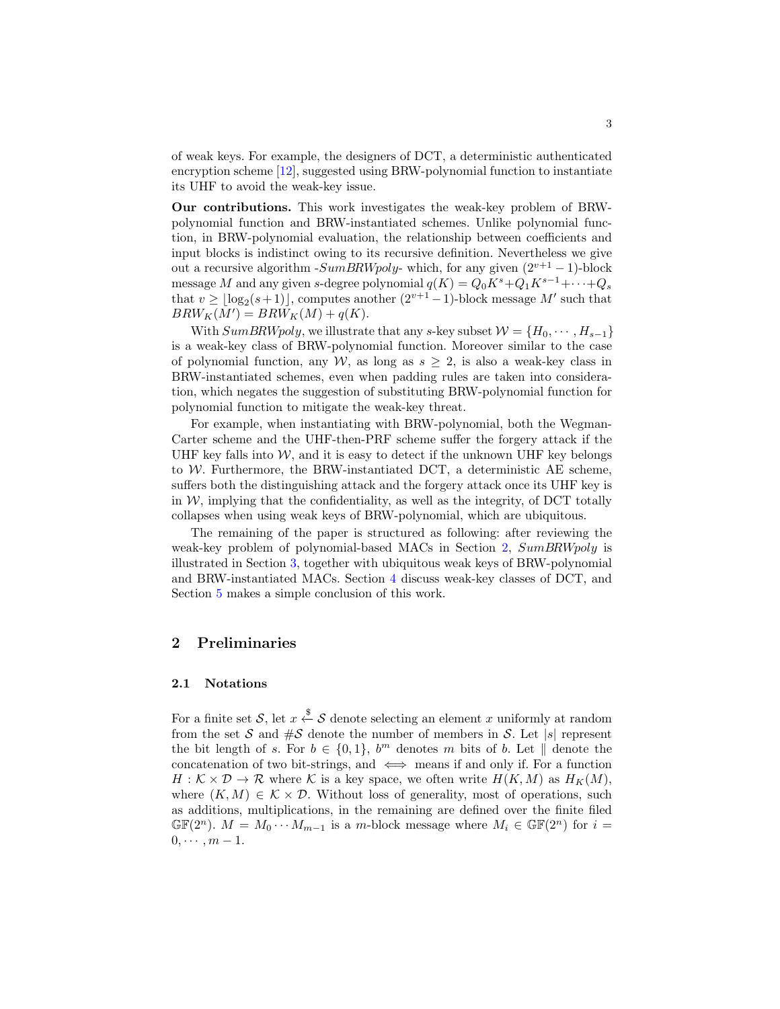<span id="page-2-1"></span>of weak keys. For example, the designers of DCT, a deterministic authenticated encryption scheme [\[12\]](#page-15-13), suggested using BRW-polynomial function to instantiate its UHF to avoid the weak-key issue.

Our contributions. This work investigates the weak-key problem of BRWpolynomial function and BRW-instantiated schemes. Unlike polynomial function, in BRW-polynomial evaluation, the relationship between coefficients and input blocks is indistinct owing to its recursive definition. Nevertheless we give out a recursive algorithm -  $SumBRWpoly$ - which, for any given  $(2^{v+1} - 1)$ -block message M and any given s-degree polynomial  $q(K) = Q_0 K^s + Q_1 K^{s-1} + \cdots + Q_s$ that  $v \geq \lfloor \log_2(s+1) \rfloor$ , computes another  $(2^{v+1}-1)$ -block message M' such that  $BRW_K(M') = BRW_K(M) + q(K).$ 

With  $SumBRWpoly$ , we illustrate that any s-key subset  $W = \{H_0, \dots, H_{s-1}\}\$ is a weak-key class of BRW-polynomial function. Moreover similar to the case of polynomial function, any W, as long as  $s \geq 2$ , is also a weak-key class in BRW-instantiated schemes, even when padding rules are taken into consideration, which negates the suggestion of substituting BRW-polynomial function for polynomial function to mitigate the weak-key threat.

For example, when instantiating with BRW-polynomial, both the Wegman-Carter scheme and the UHF-then-PRF scheme suffer the forgery attack if the UHF key falls into  $W$ , and it is easy to detect if the unknown UHF key belongs to W. Furthermore, the BRW-instantiated DCT, a deterministic AE scheme, suffers both the distinguishing attack and the forgery attack once its UHF key is in  $W$ , implying that the confidentiality, as well as the integrity, of DCT totally collapses when using weak keys of BRW-polynomial, which are ubiquitous.

The remaining of the paper is structured as following: after reviewing the weak-key problem of polynomial-based MACs in Section [2,](#page-2-0)  $SumBRWpoly$  is illustrated in Section [3,](#page-6-0) together with ubiquitous weak keys of BRW-polynomial and BRW-instantiated MACs. Section [4](#page-11-0) discuss weak-key classes of DCT, and Section [5](#page-14-1) makes a simple conclusion of this work.

## <span id="page-2-0"></span>2 Preliminaries

#### 2.1 Notations

For a finite set S, let  $x \stackrel{\$}{\leftarrow} S$  denote selecting an element x uniformly at random from the set S and  $\#S$  denote the number of members in S. Let |s| represent the bit length of s. For  $b \in \{0,1\}$ ,  $b^m$  denotes m bits of b. Let  $\parallel$  denote the concatenation of two bit-strings, and  $\iff$  means if and only if. For a function  $H: \mathcal{K} \times \mathcal{D} \to \mathcal{R}$  where K is a key space, we often write  $H(K, M)$  as  $H_K(M)$ , where  $(K, M) \in \mathcal{K} \times \mathcal{D}$ . Without loss of generality, most of operations, such as additions, multiplications, in the remaining are defined over the finite filed  $\mathbb{GF}(2^n)$ .  $M = M_0 \cdots M_{m-1}$  is a m-block message where  $M_i \in \mathbb{GF}(2^n)$  for  $i =$  $0, \cdots, m-1.$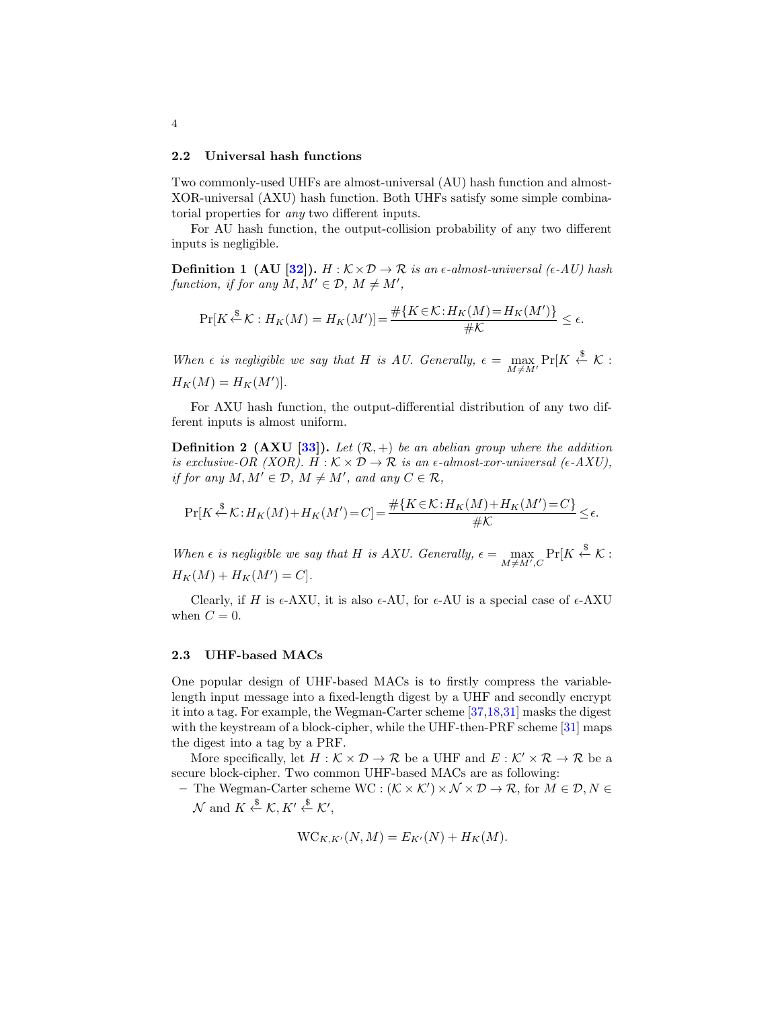#### <span id="page-3-0"></span>2.2 Universal hash functions

Two commonly-used UHFs are almost-universal (AU) hash function and almost-XOR-universal (AXU) hash function. Both UHFs satisfy some simple combinatorial properties for any two different inputs.

For AU hash function, the output-collision probability of any two different inputs is negligible.

**Definition 1 (AU [\[32\]](#page-17-6)).** H :  $K \times D \rightarrow \mathbb{R}$  is an  $\epsilon$ -almost-universal ( $\epsilon$ -AU) hash function, if for any  $M, M' \in \mathcal{D}, M \neq M'$ ,

$$
\Pr[K \stackrel{\$}{\leftarrow} \mathcal{K} : H_K(M) = H_K(M')] = \frac{\# \{ K \in \mathcal{K} : H_K(M) = H_K(M') \}}{\# \mathcal{K}} \le \epsilon.
$$

When  $\epsilon$  is negligible we say that H is AU. Generally,  $\epsilon = \max_{M \neq M'} \Pr[K \stackrel{\$}{\leftarrow} \mathcal{K}$ :  $H_K(M) = H_K(M')$ .

For AXU hash function, the output-differential distribution of any two different inputs is almost uniform.

**Definition 2 (AXU [\[33\]](#page-17-7)).** Let  $(\mathcal{R}, +)$  be an abelian group where the addition is exclusive-OR (XOR). H :  $K \times D \rightarrow \mathbb{R}$  is an  $\epsilon$ -almost-xor-universal ( $\epsilon$ -AXU), if for any  $M, M' \in \mathcal{D}, M \neq M'$ , and any  $C \in \mathcal{R}$ ,

$$
\Pr[K \stackrel{\$}{\leftarrow} \mathcal{K} : H_K(M) + H_K(M') = C] = \frac{\# \{ K \in \mathcal{K} : H_K(M) + H_K(M') = C \}}{\# \mathcal{K}} \le \epsilon.
$$

When  $\epsilon$  is negligible we say that H is AXU. Generally,  $\epsilon = \max_{M \neq M', C} \Pr[K \stackrel{\$}{\leftarrow} \mathcal{K}$ :  $H_K(M) + H_K(M') = C$ .

Clearly, if H is  $\epsilon$ -AXU, it is also  $\epsilon$ -AU, for  $\epsilon$ -AU is a special case of  $\epsilon$ -AXU when  $C = 0$ .

#### 2.3 UHF-based MACs

One popular design of UHF-based MACs is to firstly compress the variablelength input message into a fixed-length digest by a UHF and secondly encrypt it into a tag. For example, the Wegman-Carter scheme [\[37,](#page-17-0)[18,](#page-16-9)[31\]](#page-17-8) masks the digest with the keystream of a block-cipher, while the UHF-then-PRF scheme [\[31\]](#page-17-8) maps the digest into a tag by a PRF.

More specifically, let  $H : \mathcal{K} \times \mathcal{D} \to \mathcal{R}$  be a UHF and  $E : \mathcal{K}' \times \mathcal{R} \to \mathcal{R}$  be a secure block-cipher. Two common UHF-based MACs are as following:

- The Wegman-Carter scheme  $WC : (K \times K') \times N \times D \rightarrow \mathcal{R}$ , for  $M \in \mathcal{D}, N \in$  $\mathcal{N}$  and  $K \xleftarrow{\$} \mathcal{K}, K' \xleftarrow{\$} \mathcal{K}',$ 

$$
WC_{K,K'}(N,M) = E_{K'}(N) + H_K(M)
$$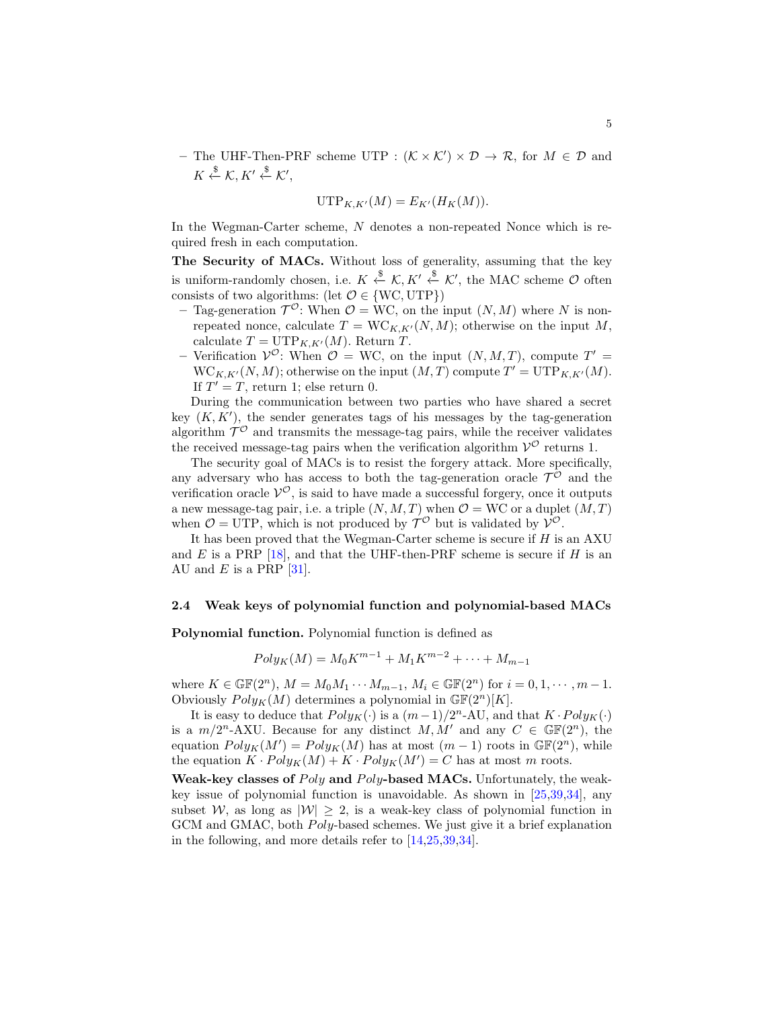<span id="page-4-0"></span>- The UHF-Then-PRF scheme UTP :  $(K \times K') \times D \rightarrow \mathcal{R}$ , for  $M \in \mathcal{D}$  and  $K \xleftarrow{\$} \mathcal{K}, K' \xleftarrow{\$} \mathcal{K}',$ 

$$
\operatorname{UTP}_{K,K'}(M) = E_{K'}(H_K(M)).
$$

In the Wegman-Carter scheme, N denotes a non-repeated Nonce which is required fresh in each computation.

The Security of MACs. Without loss of generality, assuming that the key is uniform-randomly chosen, i.e.  $K \stackrel{\$}{\leftarrow} \mathcal{K}, K' \stackrel{\$}{\leftarrow} \mathcal{K}'$ , the MAC scheme  $\mathcal O$  often consists of two algorithms: (let  $\mathcal{O} \in \{WC, UTP\}$ )

- Tag-generation  $\mathcal{T}^{\mathcal{O}}$ : When  $\mathcal{O} = \text{WC}$ , on the input  $(N, M)$  where N is nonrepeated nonce, calculate  $T = WC_{K,K'}(N, M)$ ; otherwise on the input M, calculate  $T = \text{UTP}_{K,K'}(M)$ . Return T.
- Verification  $V^{\mathcal{O}}$ : When  $\mathcal{O} = \mathbf{WC}$ , on the input  $(N, M, T)$ , compute  $T' =$  $WC_{K,K'}(N,M)$ ; otherwise on the input  $(M,T)$  compute  $T' = UTP_{K,K'}(M)$ . If  $T' = T$ , return 1; else return 0.

During the communication between two parties who have shared a secret key  $(K, K')$ , the sender generates tags of his messages by the tag-generation algorithm  $\mathcal{T}^{\mathcal{O}}$  and transmits the message-tag pairs, while the receiver validates the received message-tag pairs when the verification algorithm  $\mathcal{V}^{\mathcal{O}}$  returns 1.

The security goal of MACs is to resist the forgery attack. More specifically, any adversary who has access to both the tag-generation oracle  $\mathcal{T}^{\mathcal{O}}$  and the verification oracle  $V^{\mathcal{O}}$ , is said to have made a successful forgery, once it outputs a new message-tag pair, i.e. a triple  $(N, M, T)$  when  $\mathcal{O} = \text{WC}$  or a duplet  $(M, T)$ when  $\mathcal{O} = \text{UTP}$ , which is not produced by  $\mathcal{T}^{\mathcal{O}}$  but is validated by  $\mathcal{V}^{\mathcal{O}}$ .

It has been proved that the Wegman-Carter scheme is secure if  $H$  is an AXU and E is a PRP [\[18\]](#page-16-9), and that the UHF-then-PRF scheme is secure if H is an AU and  $E$  is a PRP [\[31\]](#page-17-8).

### 2.4 Weak keys of polynomial function and polynomial-based MACs

Polynomial function. Polynomial function is defined as

$$
Poly_K(M) = M_0 K^{m-1} + M_1 K^{m-2} + \dots + M_{m-1}
$$

where  $K \in \mathbb{GF}(2^n)$ ,  $M = M_0 M_1 \cdots M_{m-1}$ ,  $M_i \in \mathbb{GF}(2^n)$  for  $i = 0, 1, \dots, m-1$ . Obviously  $Poly_K(M)$  determines a polynomial in  $\mathbb{GF}(2^n)[K]$ .

It is easy to deduce that  $Poly_K(\cdot)$  is a  $(m-1)/2^n$ -AU, and that  $K \cdot Poly_K(\cdot)$ is a  $m/2^{n}$ -AXU. Because for any distinct  $M, M'$  and any  $C \in \mathbb{GF}(2^{n})$ , the equation  $Poly_K(M') = Poly_K(M)$  has at most  $(m-1)$  roots in  $\mathbb{GF}(2^n)$ , while the equation  $K \cdot Poly_K(M) + K \cdot Poly_K(M') = C$  has at most m roots.

Weak-key classes of  $Poly$  and  $Poly$ -based MACs. Unfortunately, the weakkey issue of polynomial function is unavoidable. As shown in [\[25](#page-16-3)[,39,](#page-17-2)[34\]](#page-17-3), any subset W, as long as  $|W| > 2$ , is a weak-key class of polynomial function in GCM and GMAC, both *Poly*-based schemes. We just give it a brief explanation in the following, and more details refer to [\[14,](#page-15-6)[25,](#page-16-3)[39,](#page-17-2)[34\]](#page-17-3).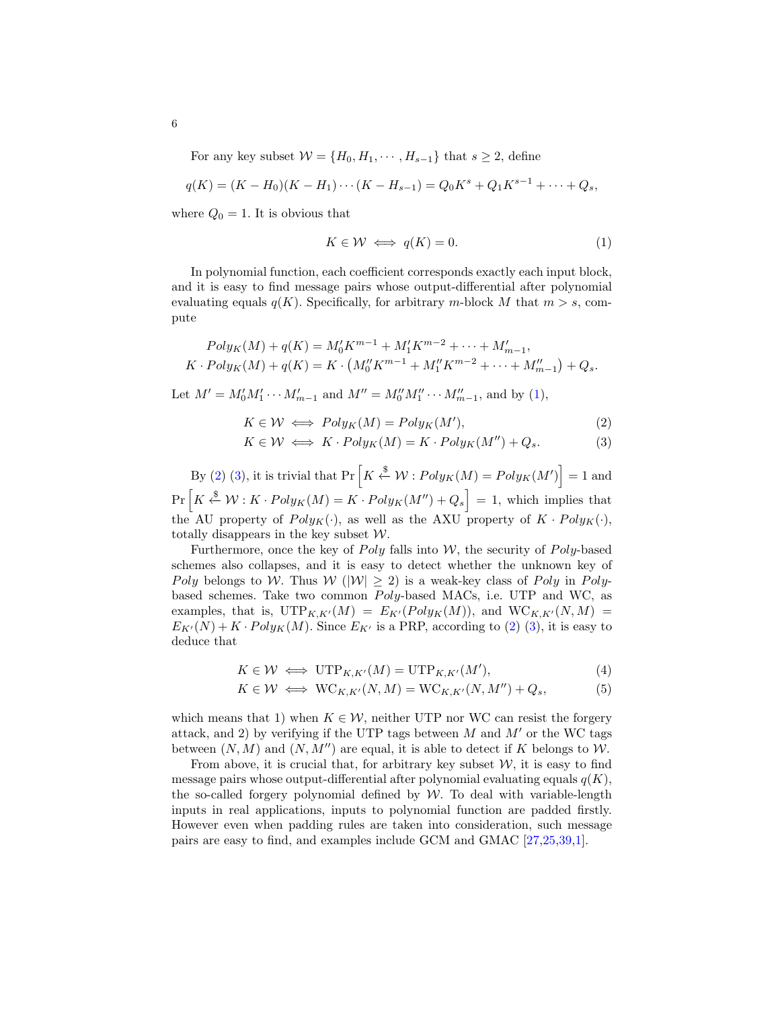<span id="page-5-2"></span>For any key subset  $W = \{H_0, H_1, \cdots, H_{s-1}\}\$  that  $s \geq 2$ , define

$$
q(K) = (K - H_0)(K - H_1) \cdots (K - H_{s-1}) = Q_0 K^s + Q_1 K^{s-1} + \cdots + Q_s,
$$

where  $Q_0 = 1$ . It is obvious that

<span id="page-5-0"></span>
$$
K \in \mathcal{W} \iff q(K) = 0. \tag{1}
$$

In polynomial function, each coefficient corresponds exactly each input block, and it is easy to find message pairs whose output-differential after polynomial evaluating equals  $q(K)$ . Specifically, for arbitrary m-block M that  $m > s$ , compute

$$
Poly_K(M) + q(K) = M'_0 K^{m-1} + M'_1 K^{m-2} + \dots + M'_{m-1},
$$
  

$$
K \cdot Poly_K(M) + q(K) = K \cdot (M''_0 K^{m-1} + M''_1 K^{m-2} + \dots + M''_{m-1}) + Q_s.
$$

Let  $M' = M'_0 M'_1 \cdots M'_{m-1}$  and  $M'' = M''_0 M''_1 \cdots M''_{m-1}$ , and by [\(1\)](#page-5-0),

<span id="page-5-1"></span>
$$
K \in \mathcal{W} \iff Poly_K(M) = Poly_K(M'),\tag{2}
$$

$$
K \in \mathcal{W} \iff K \cdot Poly_K(M) = K \cdot Poly_K(M'') + Q_s. \tag{3}
$$

By [\(2\)](#page-5-1) [\(3\)](#page-5-1), it is trivial that  $Pr\left[K \stackrel{\$}{\leftarrow} \mathcal{W} : Poly_K(M) = Poly_K(M')\right] = 1$  and  $Pr\left[K \stackrel{\$}{\leftarrow} \mathcal{W}: K \cdot Poly_K(M) = K \cdot Poly_K(M'') + Q_s\right] = 1$ , which implies that the AU property of  $Poly_K(\cdot)$ , as well as the AXU property of  $K \cdot Poly_K(\cdot)$ , totally disappears in the key subset  $W$ .

Furthermore, once the key of  $Poly$  falls into W, the security of  $Poly$ -based schemes also collapses, and it is easy to detect whether the unknown key of Poly belongs to W. Thus  $W(|W| \ge 2)$  is a weak-key class of Poly in Polybased schemes. Take two common Poly-based MACs, i.e. UTP and WC, as examples, that is,  $\text{UTP}_{K,K'}(M) = E_{K'}(Poly_K(M)),$  and  $\text{WC}_{K,K'}(N, M)$  =  $E_{K'}(N) + K \cdot Poly_K(M)$ . Since  $E_{K'}$  is a PRP, according to [\(2\)](#page-5-1) [\(3\)](#page-5-1), it is easy to deduce that

$$
K \in \mathcal{W} \iff \text{UTP}_{K,K'}(M) = \text{UTP}_{K,K'}(M'),\tag{4}
$$

$$
K \in \mathcal{W} \iff \text{WC}_{K,K'}(N,M) = \text{WC}_{K,K'}(N,M'') + Q_s,\tag{5}
$$

which means that 1) when  $K \in \mathcal{W}$ , neither UTP nor WC can resist the forgery attack, and 2) by verifying if the UTP tags between M and  $M'$  or the WC tags between  $(N, M)$  and  $(N, M'')$  are equal, it is able to detect if K belongs to W.

From above, it is crucial that, for arbitrary key subset  $W$ , it is easy to find message pairs whose output-differential after polynomial evaluating equals  $q(K)$ , the so-called forgery polynomial defined by  $W$ . To deal with variable-length inputs in real applications, inputs to polynomial function are padded firstly. However even when padding rules are taken into consideration, such message pairs are easy to find, and examples include GCM and GMAC [\[27](#page-16-2)[,25,](#page-16-3)[39,](#page-17-2)[1\]](#page-14-0).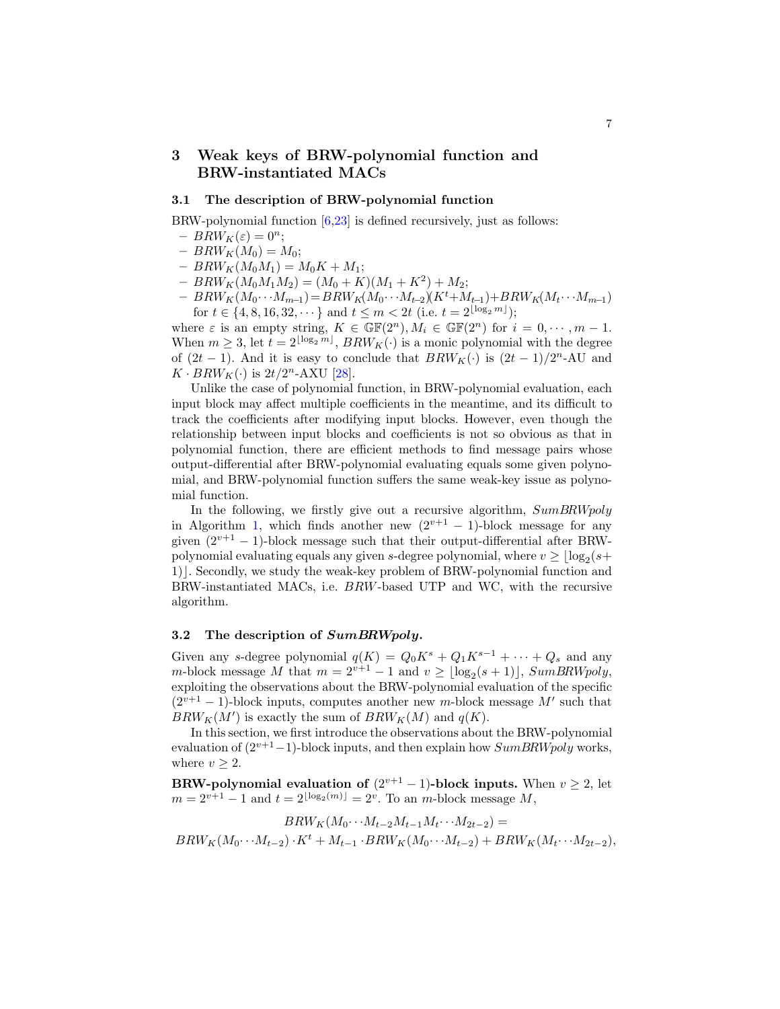# <span id="page-6-1"></span><span id="page-6-0"></span>3 Weak keys of BRW-polynomial function and BRW-instantiated MACs

## 3.1 The description of BRW-polynomial function

BRW-polynomial function [\[6,](#page-15-11)[23\]](#page-16-10) is defined recursively, just as follows:

- $-BRW_K(\varepsilon)=0^n;$
- $BRW_K(M_0) = M_0;$
- $BRW_K(M_0M_1) = M_0K + M_1;$
- $BRW_K(M_0M_1M_2) = (M_0 + K)(M_1 + K^2) + M_2;$
- $-BRW_K(M_0\cdots M_{m-1})=BRW_K(M_0\cdots M_{t-2})(K^t+M_{t-1})+BRW_K(M_t\cdots M_{m-1})$ for  $t \in \{4, 8, 16, 32, \dots\}$  and  $t \leq m < 2t$  (i.e.  $t = 2^{\lfloor \log_2 m \rfloor}$ );

where  $\varepsilon$  is an empty string,  $K \in \mathbb{GF}(2^n)$ ,  $M_i \in \mathbb{GF}(2^n)$  for  $i = 0, \dots, m-1$ . When  $m \geq 3$ , let  $t = 2^{\lfloor \log_2 m \rfloor}$ ,  $BRW_K(\cdot)$  is a monic polynomial with the degree of  $(2t - 1)$ . And it is easy to conclude that  $BRW_K(\cdot)$  is  $(2t - 1)/2^n$ -AU and  $K \cdot BRW_K(\cdot)$  is  $2t/2^n$ -AXU [\[28\]](#page-16-7).

Unlike the case of polynomial function, in BRW-polynomial evaluation, each input block may affect multiple coefficients in the meantime, and its difficult to track the coefficients after modifying input blocks. However, even though the relationship between input blocks and coefficients is not so obvious as that in polynomial function, there are efficient methods to find message pairs whose output-differential after BRW-polynomial evaluating equals some given polynomial, and BRW-polynomial function suffers the same weak-key issue as polynomial function.

In the following, we firstly give out a recursive algorithm,  $SumBRWpoly$ in Algorithm [1,](#page-7-0) which finds another new  $(2^{v+1} - 1)$ -block message for any given  $(2^{v+1} - 1)$ -block message such that their output-differential after BRWpolynomial evaluating equals any given s-degree polynomial, where  $v \geq \lfloor \log_2(s+1) \rfloor$ 1). Secondly, we study the weak-key problem of BRW-polynomial function and BRW-instantiated MACs, i.e. BRW-based UTP and WC, with the recursive algorithm.

## 3.2 The description of SumBRWpoly.

Given any s-degree polynomial  $q(K) = Q_0 K^s + Q_1 K^{s-1} + \cdots + Q_s$  and any m-block message M that  $m = 2^{v+1} - 1$  and  $v \geq \lfloor \log_2(s+1) \rfloor$ , SumBRWpoly, exploiting the observations about the BRW-polynomial evaluation of the specific  $(2^{v+1} - 1)$ -block inputs, computes another new m-block message M' such that  $BRW_K(M')$  is exactly the sum of  $BRW_K(M)$  and  $q(K)$ .

In this section, we first introduce the observations about the BRW-polynomial evaluation of  $(2^{v+1}-1)$ -block inputs, and then explain how  $SumBRWpoly$  works, where  $v > 2$ .

BRW-polynomial evaluation of  $(2^{v+1} - 1)$ -block inputs. When  $v \ge 2$ , let  $m = 2^{v+1} - 1$  and  $t = 2^{\lfloor \log_2(m) \rfloor} = 2^v$ . To an m-block message M,

$$
BRW_K(M_0\cdots M_{t-2}M_{t-1}M_t\cdots M_{2t-2}) =
$$
  

$$
BRW_K(M_0\cdots M_{t-2})\cdot K^t + M_{t-1}\cdot BRW_K(M_0\cdots M_{t-2}) + BRW_K(M_t\cdots M_{2t-2}),
$$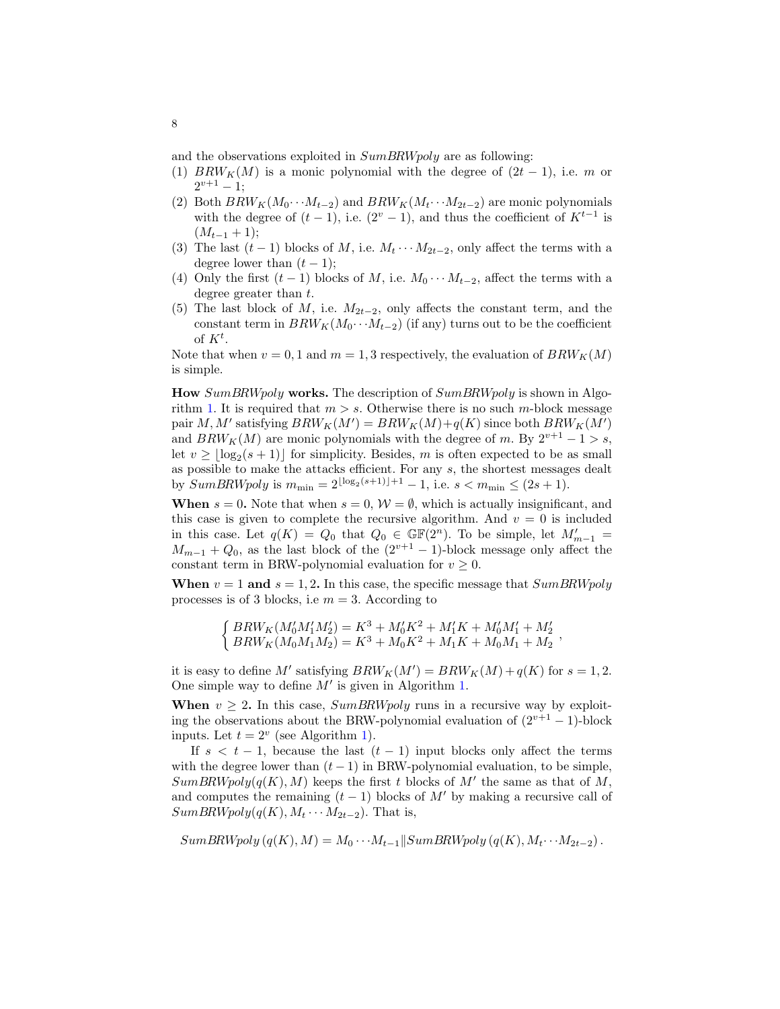and the observations exploited in  $SumBRWpoly$  are as following:

- (1)  $BRW_K(M)$  is a monic polynomial with the degree of  $(2t 1)$ , i.e. m or  $2^{v+1} - 1;$
- (2) Both  $BRW_K(M_0 \cdots M_{t-2})$  and  $BRW_K(M_t \cdots M_{2t-2})$  are monic polynomials with the degree of  $(t-1)$ , i.e.  $(2^v - 1)$ , and thus the coefficient of  $K^{t-1}$  is  $(M_{t-1}+1);$
- (3) The last  $(t-1)$  blocks of M, i.e.  $M_t \cdots M_{2t-2}$ , only affect the terms with a degree lower than  $(t-1)$ ;
- (4) Only the first  $(t-1)$  blocks of M, i.e.  $M_0 \cdots M_{t-2}$ , affect the terms with a degree greater than  $t$ .
- (5) The last block of M, i.e.  $M_{2t-2}$ , only affects the constant term, and the constant term in  $BRW_K(M_0 \cdots M_{t-2})$  (if any) turns out to be the coefficient of  $K^t$ .

Note that when  $v = 0, 1$  and  $m = 1, 3$  respectively, the evaluation of  $BRW_K(M)$ is simple.

How SumBRWpoly works. The description of SumBRWpoly is shown in Algo-rithm [1.](#page-7-0) It is required that  $m > s$ . Otherwise there is no such m-block message pair M, M' satisfying  $BRW_K(M') = BRW_K(M) + q(K)$  since both  $BRW_K(M')$ and  $BRW_K(M)$  are monic polynomials with the degree of m. By  $2^{v+1} - 1 > s$ , let  $v \geq \lfloor \log_2(s + 1) \rfloor$  for simplicity. Besides, m is often expected to be as small as possible to make the attacks efficient. For any s, the shortest messages dealt by  $SumBRWpoly$  is  $m_{\text{min}} = 2^{\lfloor \log_2(s+1) \rfloor + 1} - 1$ , i.e.  $s < m_{\text{min}} \leq (2s + 1)$ .

<span id="page-7-0"></span>When  $s = 0$ . Note that when  $s = 0$ ,  $W = \emptyset$ , which is actually insignificant, and this case is given to complete the recursive algorithm. And  $v = 0$  is included in this case. Let  $q(K) = Q_0$  that  $Q_0 \in \mathbb{GF}(2^n)$ . To be simple, let  $M'_{m-1} =$  $M_{m-1} + Q_0$ , as the last block of the  $(2^{v+1} - 1)$ -block message only affect the constant term in BRW-polynomial evaluation for  $v \geq 0$ .

When  $v = 1$  and  $s = 1, 2$ . In this case, the specific message that  $SumBRWpoly$ processes is of 3 blocks, i.e  $m = 3$ . According to

$$
\begin{cases}\nBRW_K(M'_0M'_1M'_2) = K^3 + M'_0K^2 + M'_1K + M'_0M'_1 + M'_2 \\
BRW_K(M_0M_1M_2) = K^3 + M_0K^2 + M_1K + M_0M_1 + M_2\n\end{cases}
$$

it is easy to define M' satisfying  $BRW_K(M') = BRW_K(M) + q(K)$  for  $s = 1, 2$ . One simple way to define  $M'$  is given in Algorithm [1.](#page-7-0)

When  $v \geq 2$ . In this case, SumBRWpoly runs in a recursive way by exploiting the observations about the BRW-polynomial evaluation of  $(2^{v+1} - 1)$ -block inputs. Let  $t = 2^v$  (see Algorithm [1\)](#page-7-0).

If  $s < t - 1$ , because the last  $(t - 1)$  input blocks only affect the terms with the degree lower than  $(t-1)$  in BRW-polynomial evaluation, to be simple,  $SumBRWpoly(q(K), M)$  keeps the first t blocks of M' the same as that of M, and computes the remaining  $(t - 1)$  blocks of M' by making a recursive call of  $SumBRWpoly(q(K), M_t \cdots M_{2t-2})$ . That is,

 $SumBRWpoly(q(K), M) = M_0 \cdots M_{t-1}||SumBRWpoly(q(K), M_t \cdots M_{2t-2}).$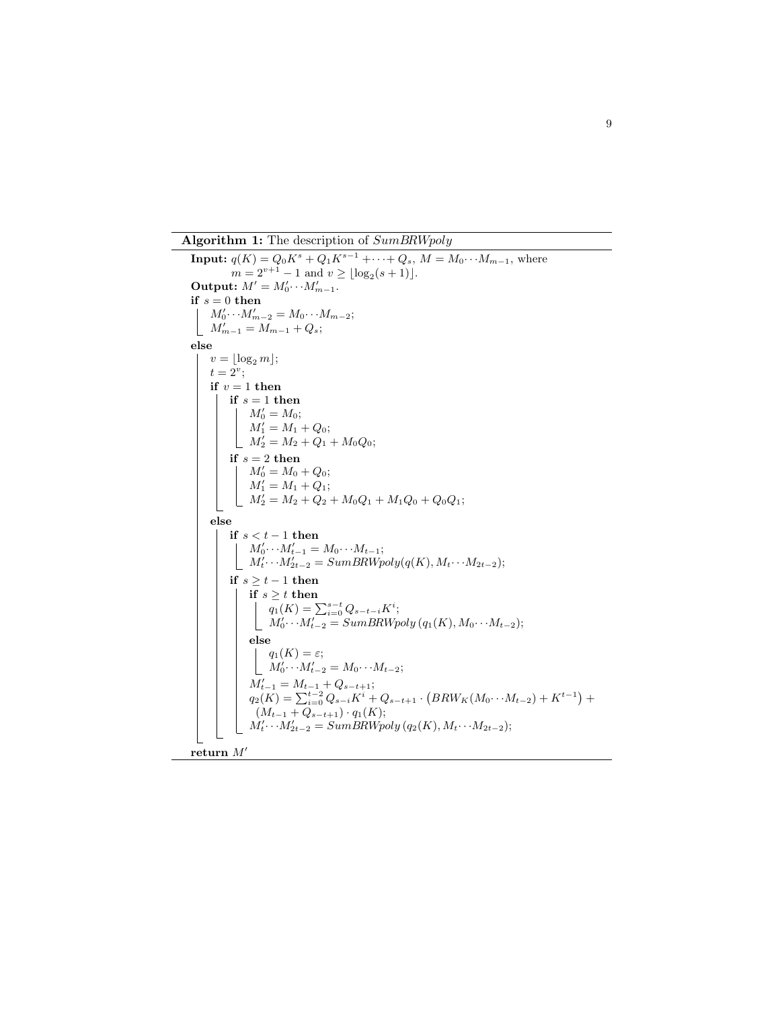Algorithm 1: The description of  $SumBRWpoly$ 

**Input:**  $q(K) = Q_0 K^s + Q_1 K^{s-1} + \cdots + Q_s, M = M_0 \cdots M_{m-1}$ , where  $m = 2^{v+1} - 1$  and  $v \geq \lfloor \log_2(s+1) \rfloor$ . Output:  $M' = M'_0 \cdots M'_{m-1}$ . if  $\sqrt{s}=0$  then  $M'_0 \cdots M'_{m-2} = M_0 \cdots M_{m-2};$  $M'_{m-1} = M_{m-1} + Q_s;$ else  $v = \log_2 m$ ;  $t=2^v;$ if  $v = 1$  then if  $s = 1$  then  $M'_0 = M_0;$  $M'_1 = M_1 + Q_0;$  $M'_2 = M_2 + Q_1 + M_0 Q_0;$ if  $s = 2$  then  $M'_0 = M_0 + Q_0;$  $M'_1 = M_1 + Q_1;$  $M'_2 = M_2 + Q_2 + M_0Q_1 + M_1Q_0 + Q_0Q_1;$ else if  $s < t - 1$  then  $M'_0 \cdots M'_{t-1} = M_0 \cdots M_{t-1};$  $M'_t \cdots M'_{2t-2} = SumBRW poly(q(K), M_t \cdots M_{2t-2});$ if  $s \ge t - 1$  then if  $s \geq t$  then  $q_1(K) = \sum_{i=0}^{s-t} Q_{s-t-i} K^i;$  $M'_0 \cdots M'_{t-2} = SumBRW poly (q_1(K), M_0 \cdots M_{t-2});$ else  $q_1(K) = \varepsilon;$  $\perp$  $M'_0 \cdots M'_{t-2} = M_0 \cdots M_{t-2};$  $M'_{t-1} = M_{t-1} + Q_{s-t+1};$  $q_2(K) = \sum_{i=0}^{t-2} Q_{s-i} K^i + Q_{s-t+1} \cdot (BRW_K(M_0 \cdots M_{t-2}) + K^{t-1}) +$  $(M_{t-1} + Q_{s-t+1}) \cdot q_1(K);$  $M'_{t} \cdots M'_{2t-2} = SumBRW poly (q_2(K), M_t \cdots M_{2t-2});$ return  $M'$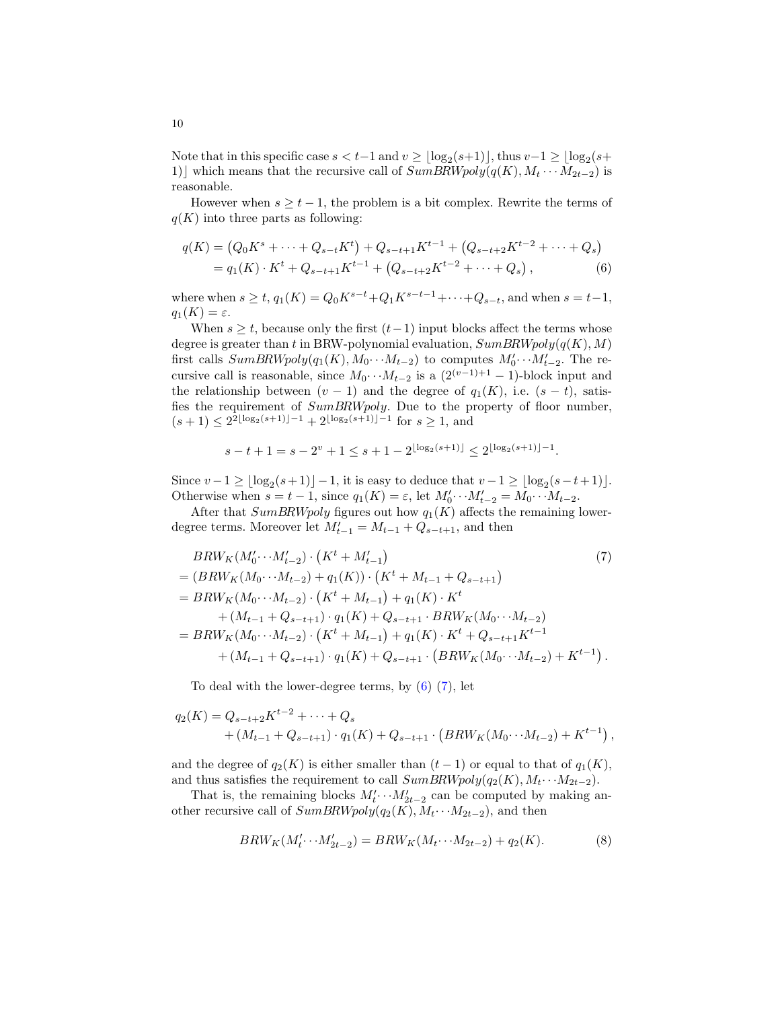Note that in this specific case  $s < t-1$  and  $v \geq \lfloor \log_2(s+1) \rfloor$ , thus  $v-1 \geq \lfloor \log_2(s+1) \rfloor$ 1) which means that the recursive call of  $SumBRWpoly(q(K), M_t \cdots M_{2t-2})$  is reasonable.

However when  $s \geq t - 1$ , the problem is a bit complex. Rewrite the terms of  $q(K)$  into three parts as following:

<span id="page-9-0"></span>
$$
q(K) = (Q_0 K^s + \dots + Q_{s-t} K^t) + Q_{s-t+1} K^{t-1} + (Q_{s-t+2} K^{t-2} + \dots + Q_s)
$$
  
=  $q_1(K) \cdot K^t + Q_{s-t+1} K^{t-1} + (Q_{s-t+2} K^{t-2} + \dots + Q_s),$  (6)

where when  $s \ge t$ ,  $q_1(K) = Q_0 K^{s-t} + Q_1 K^{s-t-1} + \cdots + Q_{s-t}$ , and when  $s = t-1$ ,  $q_1(K) = \varepsilon.$ 

When  $s \geq t$ , because only the first  $(t-1)$  input blocks affect the terms whose degree is greater than t in BRW-polynomial evaluation,  $SumBRWpoly(q(K), M)$ first calls  $SumBRWpoly(q_1(K), M_0 \cdots M_{t-2})$  to computes  $M'_0 \cdots M'_{t-2}$ . The recursive call is reasonable, since  $M_0 \cdots M_{t-2}$  is a  $(2^{(v-1)+1} - 1)$ -block input and the relationship between  $(v - 1)$  and the degree of  $q_1(K)$ , i.e.  $(s - t)$ , satisfies the requirement of SumBRWpoly. Due to the property of floor number,  $(s+1) \leq 2^{2\lfloor \log_2(s+1) \rfloor - 1} + 2^{\lfloor \log_2(s+1) \rfloor - 1}$  for  $s \geq 1$ , and

$$
s - t + 1 = s - 2^{v} + 1 \leq s + 1 - 2^{\lfloor \log_2(s+1) \rfloor} \leq 2^{\lfloor \log_2(s+1) \rfloor - 1}.
$$

Since  $v - 1 \geq \lfloor \log_2(s+1) \rfloor - 1$ , it is easy to deduce that  $v - 1 \geq \lfloor \log_2(s - t + 1) \rfloor$ . Otherwise when  $s = t - 1$ , since  $q_1(K) = \varepsilon$ , let  $M'_0 \cdots M'_{t-2} = M_0 \cdots M_{t-2}$ .

After that  $SumBRWpoly$  figures out how  $q_1(K)$  affects the remaining lowerdegree terms. Moreover let  $M'_{t-1} = M_{t-1} + Q_{s-t+1}$ , and then

<span id="page-9-1"></span>
$$
BRW_{K}(M'_{0}\cdots M'_{t-2}) \cdot (K^{t} + M'_{t-1})
$$
\n
$$
= (BRW_{K}(M_{0}\cdots M_{t-2}) + q_{1}(K)) \cdot (K^{t} + M_{t-1} + Q_{s-t+1})
$$
\n
$$
= BRW_{K}(M_{0}\cdots M_{t-2}) \cdot (K^{t} + M_{t-1}) + q_{1}(K) \cdot K^{t}
$$
\n
$$
+ (M_{t-1} + Q_{s-t+1}) \cdot q_{1}(K) + Q_{s-t+1} \cdot BRW_{K}(M_{0}\cdots M_{t-2})
$$
\n
$$
= BRW_{K}(M_{0}\cdots M_{t-2}) \cdot (K^{t} + M_{t-1}) + q_{1}(K) \cdot K^{t} + Q_{s-t+1}K^{t-1}
$$
\n
$$
+ (M_{t-1} + Q_{s-t+1}) \cdot q_{1}(K) + Q_{s-t+1} \cdot (BRW_{K}(M_{0}\cdots M_{t-2}) + K^{t-1}).
$$
\n(7)

To deal with the lower-degree terms, by  $(6)$   $(7)$ , let

$$
q_2(K) = Q_{s-t+2}K^{t-2} + \dots + Q_s
$$
  
+  $(M_{t-1} + Q_{s-t+1}) \cdot q_1(K) + Q_{s-t+1} \cdot (BRW_K(M_0 \cdots M_{t-2}) + K^{t-1}),$ 

and the degree of  $q_2(K)$  is either smaller than  $(t-1)$  or equal to that of  $q_1(K)$ , and thus satisfies the requirement to call  $SumBRWpoly(q_2(K), M_t \cdots M_{2t-2})$ .

That is, the remaining blocks  $M'_t \cdots M'_{2t-2}$  can be computed by making another recursive call of  $SumBRWpoly(q_2(K), M_t \cdots M_{2t-2})$ , and then

<span id="page-9-2"></span>
$$
BRW_K(M'_{t'} \cdots M'_{2t-2}) = BRW_K(M_{t'} \cdots M_{2t-2}) + q_2(K). \tag{8}
$$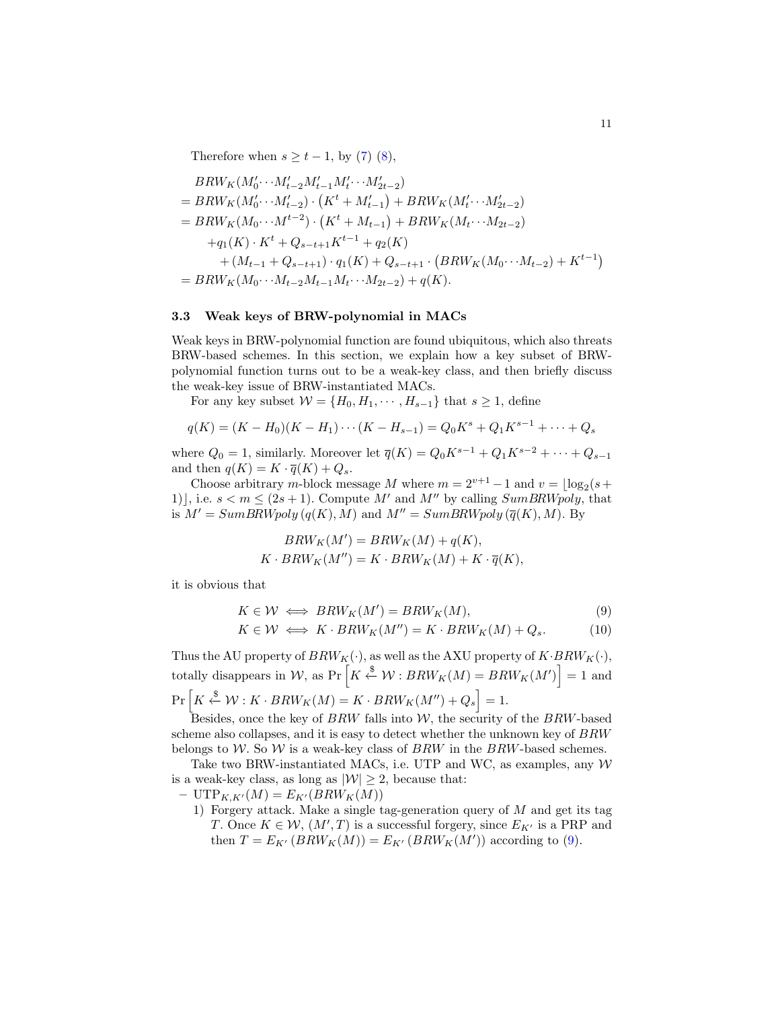Therefore when  $s \geq t-1$ , by [\(7\)](#page-9-1) [\(8\)](#page-9-2),

$$
BRW_K(M_0' \cdots M_{t-2}'M_{t-1}'M_t' \cdots M_{2t-2}')
$$
  
=  $BRW_K(M_0' \cdots M_{t-2}') \cdot (K^t + M_{t-1}') + BRW_K(M_t' \cdots M_{2t-2}')$   
=  $BRW_K(M_0 \cdots M^{t-2}) \cdot (K^t + M_{t-1}) + BRW_K(M_t \cdots M_{2t-2})$   
+ $q_1(K) \cdot K^t + Q_{s-t+1}K^{t-1} + q_2(K)$   
+  $(M_{t-1} + Q_{s-t+1}) \cdot q_1(K) + Q_{s-t+1} \cdot (BRW_K(M_0 \cdots M_{t-2}) + K^{t-1})$   
=  $BRW_K(M_0 \cdots M_{t-2}M_{t-1}M_t \cdots M_{2t-2}) + q(K).$ 

## 3.3 Weak keys of BRW-polynomial in MACs

Weak keys in BRW-polynomial function are found ubiquitous, which also threats BRW-based schemes. In this section, we explain how a key subset of BRWpolynomial function turns out to be a weak-key class, and then briefly discuss the weak-key issue of BRW-instantiated MACs.

For any key subset  $W = \{H_0, H_1, \cdots, H_{s-1}\}\$  that  $s \geq 1$ , define

$$
q(K) = (K - H_0)(K - H_1) \cdots (K - H_{s-1}) = Q_0 K^s + Q_1 K^{s-1} + \cdots + Q_s
$$

where  $Q_0 = 1$ , similarly. Moreover let  $\overline{q}(K) = Q_0 K^{s-1} + Q_1 K^{s-2} + \cdots + Q_{s-1}$ and then  $q(K) = K \cdot \overline{q}(K) + Q_s$ .

Choose arbitrary m-block message M where  $m = 2^{v+1} - 1$  and  $v = \lfloor \log_2(s +$ 1), i.e.  $s < m \leq (2s + 1)$ . Compute M' and M'' by calling SumBRWpoly, that is  $M' = SumBRWpoly(q(K), M)$  and  $M'' = SumBRWpoly(\overline{q}(K), M)$ . By

$$
BRW_K(M') = BRW_K(M) + q(K),
$$
  

$$
K \cdot BRW_K(M'') = K \cdot BRW_K(M) + K \cdot \overline{q}(K),
$$

it is obvious that

<span id="page-10-0"></span>
$$
K \in \mathcal{W} \iff BRW_K(M') = BRW_K(M),
$$
  
\n
$$
K \in \mathcal{W} \iff K \cdot BRW_K(M'') = K \cdot BRW_K(M) + Q_s.
$$
\n(9)

Thus the AU property of  $BRW_K(\cdot)$ , as well as the AXU property of  $K\cdot BRW_K(\cdot),$ totally disappears in W, as Pr  $\left[K \stackrel{\$}{\leftarrow} \mathcal{W} : BRW_K(M) = BRW_K(M') \right] = 1$  and  $Pr\left[K \stackrel{\$}{\leftarrow} \mathcal{W}: K \cdot BRW_K(M) = K \cdot BRW_K(M'') + Q_s\right] = 1.$ 

Besides, once the key of  $BRW$  falls into  $W$ , the security of the  $BRW$ -based scheme also collapses, and it is easy to detect whether the unknown key of BRW belongs to W. So W is a weak-key class of  $BRW$  in the  $BRW$ -based schemes.

Take two BRW-instantiated MACs, i.e. UTP and WC, as examples, any  $W$ is a weak-key class, as long as  $|\mathcal{W}| \geq 2$ , because that:

- $\mathrm{UTP}_{K,K'}(M) = E_{K'}(BRW_K(M))$ 
	- 1) Forgery attack. Make a single tag-generation query of  $M$  and get its tag T. Once  $K \in \mathcal{W}$ ,  $(M', T)$  is a successful forgery, since  $E_{K'}$  is a PRP and then  $T = E_{K'}(BRW_K(M)) = E_{K'}(BRW_K(M'))$  according to [\(9\)](#page-10-0).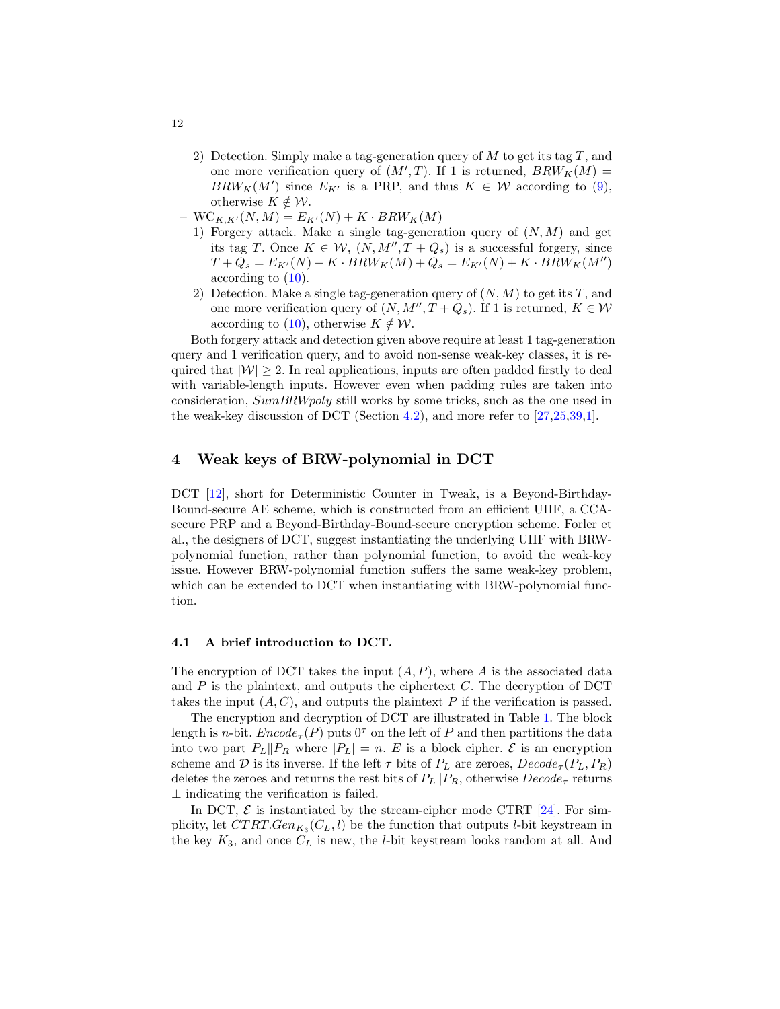- 2) Detection. Simply make a tag-generation query of  $M$  to get its tag  $T$ , and one more verification query of  $(M', T)$ . If 1 is returned,  $BRW_K(M) =$  $BRW_K(M')$  since  $E_{K'}$  is a PRP, and thus  $K \in \mathcal{W}$  according to [\(9\)](#page-10-0), otherwise  $K \notin \mathcal{W}$ .
- $-$  WC<sub>K,K'</sub>(N, M) =  $E_{K'}(N) + K \cdot BRW_K(M)$ 
	- 1) Forgery attack. Make a single tag-generation query of  $(N, M)$  and get its tag T. Once  $K \in \mathcal{W}$ ,  $(N, M'', T + Q_s)$  is a successful forgery, since  $T + Q_s = E_{K'}(N) + K \cdot BRW_K(M) + Q_s = E_{K'}(N) + K \cdot BRW_K(M'')$ according to [\(10\)](#page-10-0).
	- 2) Detection. Make a single tag-generation query of  $(N, M)$  to get its T, and one more verification query of  $(N, M'', T + Q_s)$ . If 1 is returned,  $K \in \mathcal{W}$ according to [\(10\)](#page-10-0), otherwise  $K \notin \mathcal{W}$ .

Both forgery attack and detection given above require at least 1 tag-generation query and 1 verification query, and to avoid non-sense weak-key classes, it is required that  $|\mathcal{W}| \geq 2$ . In real applications, inputs are often padded firstly to deal with variable-length inputs. However even when padding rules are taken into consideration, SumBRWpoly still works by some tricks, such as the one used in the weak-key discussion of DCT (Section [4.2\)](#page-12-0), and more refer to [\[27,](#page-16-2)[25,](#page-16-3)[39,](#page-17-2)[1\]](#page-14-0).

## <span id="page-11-0"></span>4 Weak keys of BRW-polynomial in DCT

DCT [\[12\]](#page-15-13), short for Deterministic Counter in Tweak, is a Beyond-Birthday-Bound-secure AE scheme, which is constructed from an efficient UHF, a CCAsecure PRP and a Beyond-Birthday-Bound-secure encryption scheme. Forler et al., the designers of DCT, suggest instantiating the underlying UHF with BRWpolynomial function, rather than polynomial function, to avoid the weak-key issue. However BRW-polynomial function suffers the same weak-key problem, which can be extended to DCT when instantiating with BRW-polynomial function.

## 4.1 A brief introduction to DCT.

The encryption of DCT takes the input  $(A, P)$ , where A is the associated data and  $P$  is the plaintext, and outputs the ciphertext  $C$ . The decryption of DCT takes the input  $(A, C)$ , and outputs the plaintext P if the verification is passed.

The encryption and decryption of DCT are illustrated in Table [1.](#page-12-1) The block length is *n*-bit.  $Encode_{\tau}(P)$  puts  $0^{\tau}$  on the left of P and then partitions the data into two part  $P_L||P_R$  where  $|P_L| = n$ . E is a block cipher. E is an encryption scheme and D is its inverse. If the left  $\tau$  bits of  $P_L$  are zeroes,  $Decode_{\tau}(P_L, P_R)$ deletes the zeroes and returns the rest bits of  $P_L||P_R$ , otherwise  $Decode_{\tau}$  returns  $\perp$  indicating the verification is failed.

In DCT,  $\mathcal{E}$  is instantiated by the stream-cipher mode CTRT [\[24\]](#page-16-11). For simplicity, let  $CTRT.Gen_{K_3}(C_L, l)$  be the function that outputs *l*-bit keystream in the key  $K_3$ , and once  $C_L$  is new, the *l*-bit keystream looks random at all. And

<span id="page-11-1"></span>12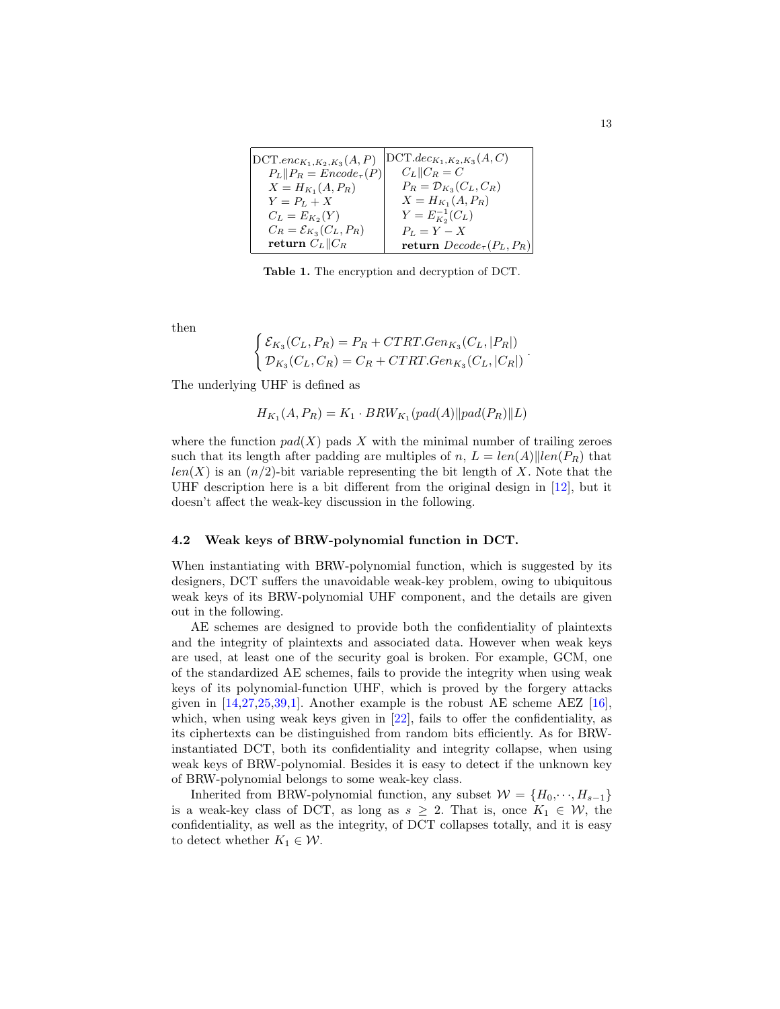<span id="page-12-2"></span>

| $DCT. enc_{K_1,K_2,K_3}(A,P)$       | $ \text{DCT}.dec_{K_1,K_2,K_3}(A,C) $ |
|-------------------------------------|---------------------------------------|
| $P_L  P_R = Encode_{\tau}(P)  $     | $C_L$    $C_R = C$                    |
| $X = H_{K_1}(A, P_R)$               | $P_R = \mathcal{D}_{K_3}(C_L, C_R)$   |
| $Y = P_L + X$                       | $X = H_{K_1}(A, P_R)$                 |
| $C_L = E_{K_2}(Y)$                  | $Y = E_{K_2}^{-1}(C_L)$               |
| $C_R = \mathcal{E}_{K_3}(C_L, P_R)$ | $P_L = Y - X$                         |
| return $C_L  C_R$                   | return $Decode_{\tau}(P_L, P_R)$      |

<span id="page-12-1"></span>Table 1. The encryption and decryption of DCT.

then

$$
\begin{cases} \mathcal{E}_{K_3}(C_L, P_R) = P_R + CTRT.Gen_{K_3}(C_L, |P_R|) \\ \mathcal{D}_{K_3}(C_L, C_R) = C_R + CTRT.Gen_{K_3}(C_L, |C_R|) \end{cases}
$$

The underlying UHF is defined as

$$
H_{K_1}(A, P_R) = K_1 \cdot BRW_{K_1}(pad(A)||pad(P_R)||L)
$$

where the function  $pad(X)$  pads X with the minimal number of trailing zeroes such that its length after padding are multiples of n,  $L = len(A)||len(P_R)$  that  $len(X)$  is an  $(n/2)$ -bit variable representing the bit length of X. Note that the UHF description here is a bit different from the original design in [\[12\]](#page-15-13), but it doesn't affect the weak-key discussion in the following.

#### <span id="page-12-0"></span>4.2 Weak keys of BRW-polynomial function in DCT.

When instantiating with BRW-polynomial function, which is suggested by its designers, DCT suffers the unavoidable weak-key problem, owing to ubiquitous weak keys of its BRW-polynomial UHF component, and the details are given out in the following.

AE schemes are designed to provide both the confidentiality of plaintexts and the integrity of plaintexts and associated data. However when weak keys are used, at least one of the security goal is broken. For example, GCM, one of the standardized AE schemes, fails to provide the integrity when using weak keys of its polynomial-function UHF, which is proved by the forgery attacks given in  $[14,27,25,39,1]$  $[14,27,25,39,1]$  $[14,27,25,39,1]$  $[14,27,25,39,1]$  $[14,27,25,39,1]$ . Another example is the robust AE scheme AEZ  $[16]$ , which, when using weak keys given in [\[22\]](#page-16-12), fails to offer the confidentiality, as its ciphertexts can be distinguished from random bits efficiently. As for BRWinstantiated DCT, both its confidentiality and integrity collapse, when using weak keys of BRW-polynomial. Besides it is easy to detect if the unknown key of BRW-polynomial belongs to some weak-key class.

Inherited from BRW-polynomial function, any subset  $W = \{H_0, \dots, H_{s-1}\}\$ is a weak-key class of DCT, as long as  $s \geq 2$ . That is, once  $K_1 \in \mathcal{W}$ , the confidentiality, as well as the integrity, of DCT collapses totally, and it is easy to detect whether  $K_1 \in \mathcal{W}$ .

.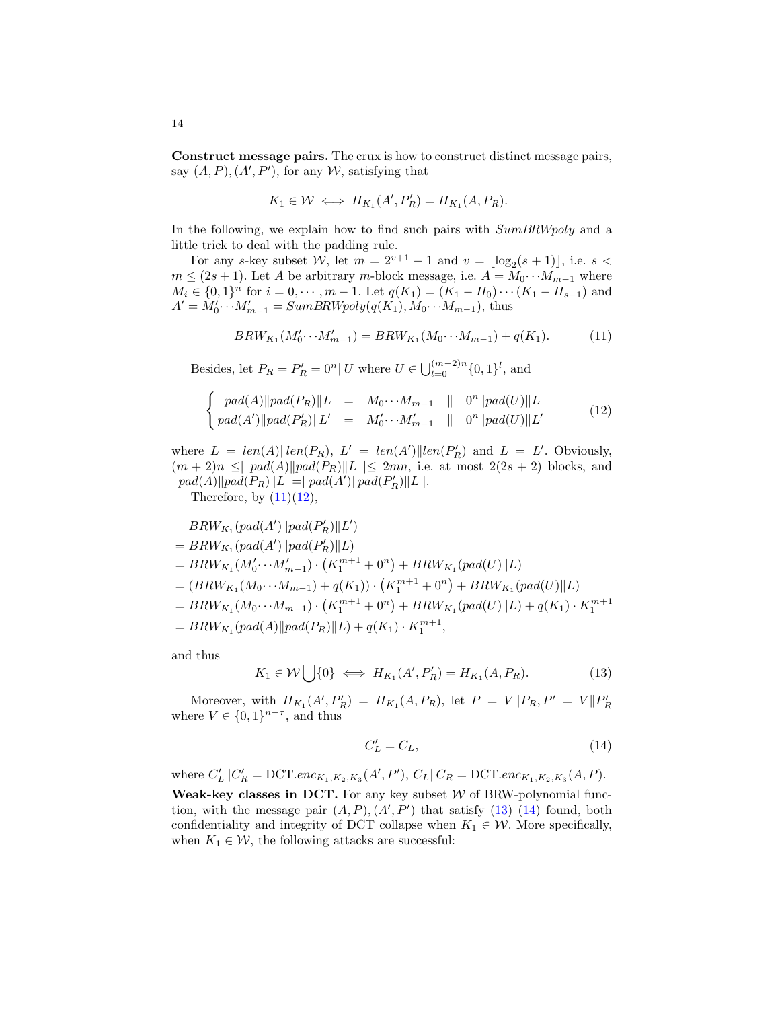Construct message pairs. The crux is how to construct distinct message pairs, say  $(A, P), (A', P')$ , for any W, satisfying that

$$
K_1 \in \mathcal{W} \iff H_{K_1}(A', P'_R) = H_{K_1}(A, P_R).
$$

In the following, we explain how to find such pairs with  $SumBRWpoly$  and a little trick to deal with the padding rule.

For any s-key subset W, let  $m = 2^{v+1} - 1$  and  $v = \lfloor \log_2(s+1) \rfloor$ , i.e. s <  $m \leq (2s+1)$ . Let A be arbitrary m-block message, i.e.  $A = M_0 \cdots M_{m-1}$  where  $M_i \in \{0,1\}^n$  for  $i = 0, \dots, m-1$ . Let  $q(K_1) = (K_1 - H_0) \cdots (K_1 - H_{s-1})$  and  $A' = M'_0 \cdots M'_{m-1} = SumBRW poly(q(K_1), M_0 \cdots M_{m-1}),$  thus

<span id="page-13-0"></span>
$$
BRW_{K_1}(M'_0 \cdots M'_{m-1}) = BRW_{K_1}(M_0 \cdots M_{m-1}) + q(K_1). \tag{11}
$$

Besides, let  $P_R = P'_R = 0^n || U$  where  $U \in \bigcup_{l=0}^{(m-2)n} \{0,1\}^l$ , and

<span id="page-13-1"></span>
$$
\begin{cases}\n\text{pad}(A) \|\text{pad}(P_R)\|L = M_0 \cdots M_{m-1} \| 0^n \|\text{pad}(U)\|L \\
\text{pad}(A') \|\text{pad}(P_R')\|L' = M'_0 \cdots M'_{m-1} \| 0^n \|\text{pad}(U)\|L'\n\end{cases} (12)
$$

where  $L = len(A) || len(P_R)$ ,  $L' = len(A') || len(P'_R)$  and  $L = L'$ . Obviously,  $(m+2)n \leq |pad(A)||pad(P_R)||L| \leq 2mn$ , i.e. at most  $2(2s+2)$  blocks, and  $\| pad(A) \| pad(P_R) \| L \| = \| pad(A') \| pad(P'_R) \| L \|.$ 

Therefore, by  $(11)(12)$  $(11)(12)$ ,

$$
BRW_{K_1}(pad(A')\|pad(P'_R)\|L')
$$
  
=  $BRW_{K_1}(pad(A')\|pad(P'_R)\|L)$   
=  $BRW_{K_1}(M'_0 \cdots M'_{m-1}) \cdot (K_1^{m+1} + 0^n) + BRW_{K_1}(pad(U)\|L)$   
=  $(BRW_{K_1}(M_0 \cdots M_{m-1}) + q(K_1)) \cdot (K_1^{m+1} + 0^n) + BRW_{K_1}(pad(U)\|L)$   
=  $BRW_{K_1}(M_0 \cdots M_{m-1}) \cdot (K_1^{m+1} + 0^n) + BRW_{K_1}(pad(U)\|L) + q(K_1) \cdot K_1^{m+1}$   
=  $BRW_{K_1}(pad(A)\|pad(P_R)\|L) + q(K_1) \cdot K_1^{m+1}$ ,

and thus

<span id="page-13-2"></span>
$$
K_1 \in \mathcal{W} \bigcup \{0\} \iff H_{K_1}(A', P'_R) = H_{K_1}(A, P_R). \tag{13}
$$

Moreover, with  $H_{K_1}(A', P'_R) = H_{K_1}(A, P_R)$ , let  $P = V||P_R, P' = V||P'_R$ where  $V \in \{0,1\}^{n-\tau}$ , and thus

<span id="page-13-3"></span>
$$
C_L' = C_L,\tag{14}
$$

where  $C'_{L} || C'_{R} = DCT. enc_{K_1, K_2, K_3}(A', P'), C_{L} || C_{R} = DCT. enc_{K_1, K_2, K_3}(A, P).$ Weak-key classes in DCT. For any key subset  $W$  of BRW-polynomial function, with the message pair  $(A, P), (A', P')$  that satisfy [\(13\)](#page-13-2) [\(14\)](#page-13-3) found, both confidentiality and integrity of DCT collapse when  $K_1 \in \mathcal{W}$ . More specifically, when  $K_1 \in \mathcal{W}$ , the following attacks are successful: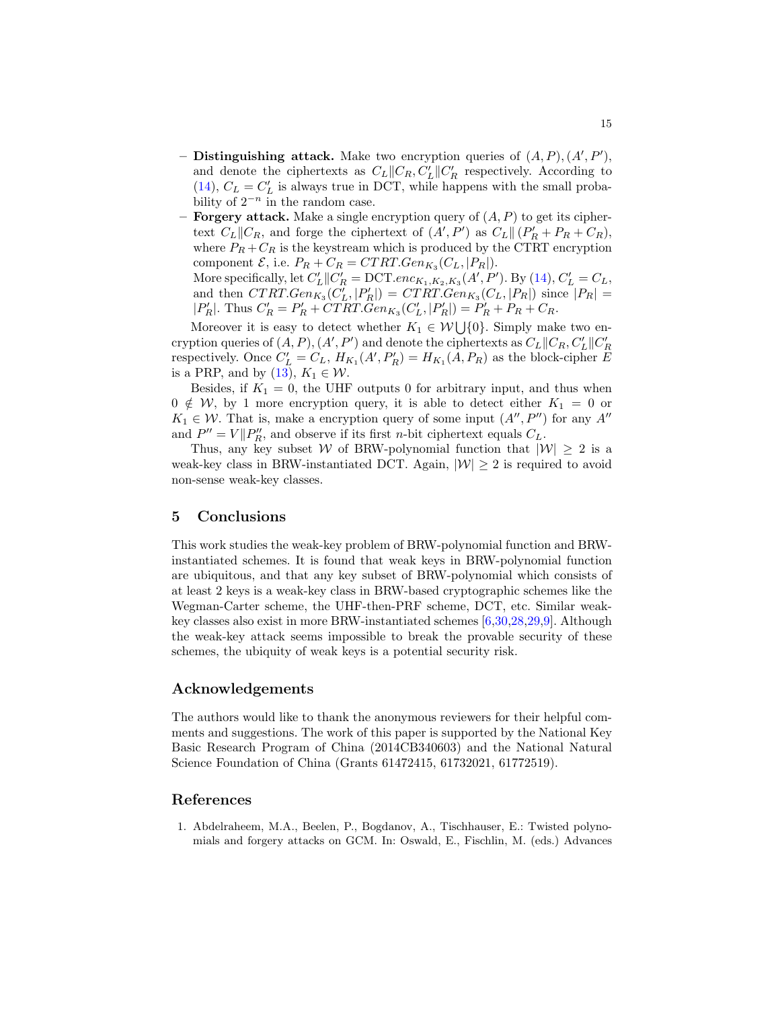- <span id="page-14-2"></span>- Distinguishing attack. Make two encryption queries of  $(A, P), (A', P'),$ and denote the ciphertexts as  $C_L||C_R, C'_L||C'_R$  respectively. According to [\(14\)](#page-13-3),  $C_L = C_L'$  is always true in DCT, while happens with the small probability of  $2^{-n}$  in the random case.
- **Forgery attack.** Make a single encryption query of  $(A, P)$  to get its ciphertext  $C_L||C_R$ , and forge the ciphertext of  $(A', P')$  as  $C_L||(P'_R + P_R + C_R)$ , where  $P_R + C_R$  is the keystream which is produced by the CTRT encryption component  $\mathcal{E}$ , i.e.  $P_R + C_R = CTRT.Gen_{K_3}(C_L, |P_R|)$ .

More specifically, let  $C'_{L}||C'_{R} = DCT. enc_{K_1, K_2, K_3}(A', P')$ . By [\(14\)](#page-13-3),  $C'_{L} = C_{L}$ , and then  $CTRT.Gen_{K_3}(C'_L, |P'_R|) = CTRT.Gen_{K_3}(C_L, |P_R|)$  since  $|P_R|$  =  $|P'_R|$ . Thus  $C'_R = P'_R + CTRT \cdot \tilde{G}en_{K_3}(C'_L, |P'_R|) = P'_R + P_R + C_R$ .

Moreover it is easy to detect whether  $K_1 \in \mathcal{W} \bigcup \{0\}$ . Simply make two encryption queries of  $(A, P), (A', P')$  and denote the ciphertexts as  $C_L||C_R, C'_L||C'_R$ respectively. Once  $C'_{L} = C_{L}$ ,  $H_{K_1}(A', P'_{R}) = H_{K_1}(A, P_{R})$  as the block-cipher E is a PRP, and by  $(13)$ ,  $K_1 \in \mathcal{W}$ .

Besides, if  $K_1 = 0$ , the UHF outputs 0 for arbitrary input, and thus when  $0 \notin W$ , by 1 more encryption query, it is able to detect either  $K_1 = 0$  or  $K_1 \in \mathcal{W}$ . That is, make a encryption query of some input  $(A'', P'')$  for any  $A''$ and  $P'' = V||P''_R$ , and observe if its first *n*-bit ciphertext equals  $C_L$ .

Thus, any key subset W of BRW-polynomial function that  $|W| \geq 2$  is a weak-key class in BRW-instantiated DCT. Again,  $|W| \geq 2$  is required to avoid non-sense weak-key classes.

## <span id="page-14-1"></span>5 Conclusions

This work studies the weak-key problem of BRW-polynomial function and BRWinstantiated schemes. It is found that weak keys in BRW-polynomial function are ubiquitous, and that any key subset of BRW-polynomial which consists of at least 2 keys is a weak-key class in BRW-based cryptographic schemes like the Wegman-Carter scheme, the UHF-then-PRF scheme, DCT, etc. Similar weakkey classes also exist in more BRW-instantiated schemes [\[6,](#page-15-11)[30,](#page-17-5)[28,](#page-16-7)[29,](#page-16-8)[9\]](#page-15-12). Although the weak-key attack seems impossible to break the provable security of these schemes, the ubiquity of weak keys is a potential security risk.

### Acknowledgements

The authors would like to thank the anonymous reviewers for their helpful comments and suggestions. The work of this paper is supported by the National Key Basic Research Program of China (2014CB340603) and the National Natural Science Foundation of China (Grants 61472415, 61732021, 61772519).

## References

<span id="page-14-0"></span>1. Abdelraheem, M.A., Beelen, P., Bogdanov, A., Tischhauser, E.: Twisted polynomials and forgery attacks on GCM. In: Oswald, E., Fischlin, M. (eds.) Advances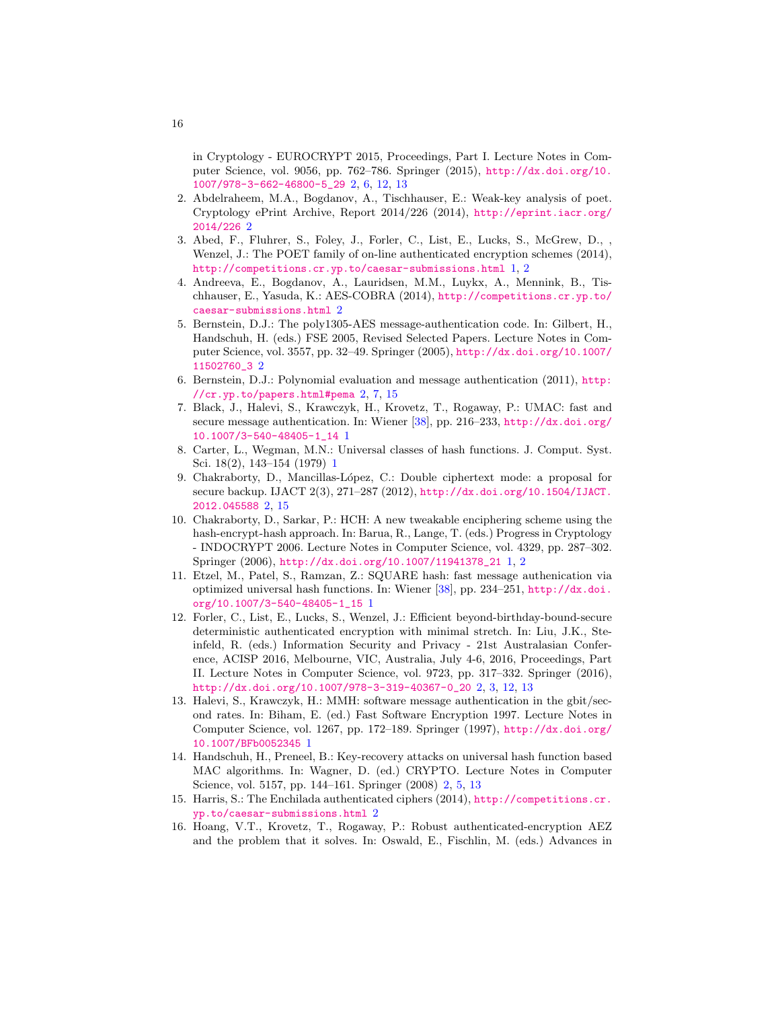<span id="page-15-15"></span>in Cryptology - EUROCRYPT 2015, Proceedings, Part I. Lecture Notes in Computer Science, vol. 9056, pp. 762–786. Springer (2015), [http://dx.doi.org/10.](http://dx.doi.org/10.1007/978-3-662-46800-5_29) [1007/978-3-662-46800-5\\_29](http://dx.doi.org/10.1007/978-3-662-46800-5_29) [2,](#page-1-0) [6,](#page-5-2) [12,](#page-11-1) [13](#page-12-2)

- <span id="page-15-10"></span>2. Abdelraheem, M.A., Bogdanov, A., Tischhauser, E.: Weak-key analysis of poet. Cryptology ePrint Archive, Report 2014/226 (2014), [http://eprint.iacr.org/](http://eprint.iacr.org/2014/226) [2014/226](http://eprint.iacr.org/2014/226) [2](#page-1-0)
- <span id="page-15-5"></span>3. Abed, F., Fluhrer, S., Foley, J., Forler, C., List, E., Lucks, S., McGrew, D., , Wenzel, J.: The POET family of on-line authenticated encryption schemes (2014), <http://competitions.cr.yp.to/caesar-submissions.html> [1,](#page-0-0) [2](#page-1-0)
- <span id="page-15-8"></span>4. Andreeva, E., Bogdanov, A., Lauridsen, M.M., Luykx, A., Mennink, B., Tischhauser, E., Yasuda, K.: AES-COBRA (2014), [http://competitions.cr.yp.to/](http://competitions.cr.yp.to/caesar-submissions.html) [caesar-submissions.html](http://competitions.cr.yp.to/caesar-submissions.html) [2](#page-1-0)
- <span id="page-15-7"></span>5. Bernstein, D.J.: The poly1305-AES message-authentication code. In: Gilbert, H., Handschuh, H. (eds.) FSE 2005, Revised Selected Papers. Lecture Notes in Computer Science, vol. 3557, pp. 32–49. Springer (2005), [http://dx.doi.org/10.1007/](http://dx.doi.org/10.1007/11502760_3) [11502760\\_3](http://dx.doi.org/10.1007/11502760_3) [2](#page-1-0)
- <span id="page-15-11"></span>6. Bernstein, D.J.: Polynomial evaluation and message authentication (2011), [http:](http://cr.yp.to/papers.html#pema) [//cr.yp.to/papers.html#pema](http://cr.yp.to/papers.html#pema) [2,](#page-1-0) [7,](#page-6-1) [15](#page-14-2)
- <span id="page-15-3"></span>7. Black, J., Halevi, S., Krawczyk, H., Krovetz, T., Rogaway, P.: UMAC: fast and secure message authentication. In: Wiener [\[38\]](#page-17-9), pp. 216–233, [http://dx.doi.org/](http://dx.doi.org/10.1007/3-540-48405-1_14) [10.1007/3-540-48405-1\\_14](http://dx.doi.org/10.1007/3-540-48405-1_14) [1](#page-0-0)
- <span id="page-15-0"></span>8. Carter, L., Wegman, M.N.: Universal classes of hash functions. J. Comput. Syst. Sci. 18(2), 143–154 (1979) [1](#page-0-0)
- <span id="page-15-12"></span>9. Chakraborty, D., Mancillas-L´opez, C.: Double ciphertext mode: a proposal for secure backup. IJACT 2(3), 271–287 (2012), [http://dx.doi.org/10.1504/IJACT.](http://dx.doi.org/10.1504/IJACT.2012.045588) [2012.045588](http://dx.doi.org/10.1504/IJACT.2012.045588) [2,](#page-1-0) [15](#page-14-2)
- <span id="page-15-4"></span>10. Chakraborty, D., Sarkar, P.: HCH: A new tweakable enciphering scheme using the hash-encrypt-hash approach. In: Barua, R., Lange, T. (eds.) Progress in Cryptology - INDOCRYPT 2006. Lecture Notes in Computer Science, vol. 4329, pp. 287–302. Springer (2006), [http://dx.doi.org/10.1007/11941378\\_21](http://dx.doi.org/10.1007/11941378_21) [1,](#page-0-0) [2](#page-1-0)
- <span id="page-15-2"></span>11. Etzel, M., Patel, S., Ramzan, Z.: SQUARE hash: fast message authenication via optimized universal hash functions. In: Wiener [\[38\]](#page-17-9), pp. 234–251, [http://dx.doi.](http://dx.doi.org/10.1007/3-540-48405-1_15) [org/10.1007/3-540-48405-1\\_15](http://dx.doi.org/10.1007/3-540-48405-1_15) [1](#page-0-0)
- <span id="page-15-13"></span>12. Forler, C., List, E., Lucks, S., Wenzel, J.: Efficient beyond-birthday-bound-secure deterministic authenticated encryption with minimal stretch. In: Liu, J.K., Steinfeld, R. (eds.) Information Security and Privacy - 21st Australasian Conference, ACISP 2016, Melbourne, VIC, Australia, July 4-6, 2016, Proceedings, Part II. Lecture Notes in Computer Science, vol. 9723, pp. 317–332. Springer (2016), [http://dx.doi.org/10.1007/978-3-319-40367-0\\_20](http://dx.doi.org/10.1007/978-3-319-40367-0_20) [2,](#page-1-0) [3,](#page-2-1) [12,](#page-11-1) [13](#page-12-2)
- <span id="page-15-1"></span>13. Halevi, S., Krawczyk, H.: MMH: software message authentication in the gbit/second rates. In: Biham, E. (ed.) Fast Software Encryption 1997. Lecture Notes in Computer Science, vol. 1267, pp. 172–189. Springer (1997), [http://dx.doi.org/](http://dx.doi.org/10.1007/BFb0052345) [10.1007/BFb0052345](http://dx.doi.org/10.1007/BFb0052345) [1](#page-0-0)
- <span id="page-15-6"></span>14. Handschuh, H., Preneel, B.: Key-recovery attacks on universal hash function based MAC algorithms. In: Wagner, D. (ed.) CRYPTO. Lecture Notes in Computer Science, vol. 5157, pp. 144–161. Springer (2008) [2,](#page-1-0) [5,](#page-4-0) [13](#page-12-2)
- <span id="page-15-9"></span>15. Harris, S.: The Enchilada authenticated ciphers (2014), [http://competitions.cr.](http://competitions.cr.yp.to/caesar-submissions.html)  $yp.to/caesar-submissions.html$   $2$
- <span id="page-15-14"></span>16. Hoang, V.T., Krovetz, T., Rogaway, P.: Robust authenticated-encryption AEZ and the problem that it solves. In: Oswald, E., Fischlin, M. (eds.) Advances in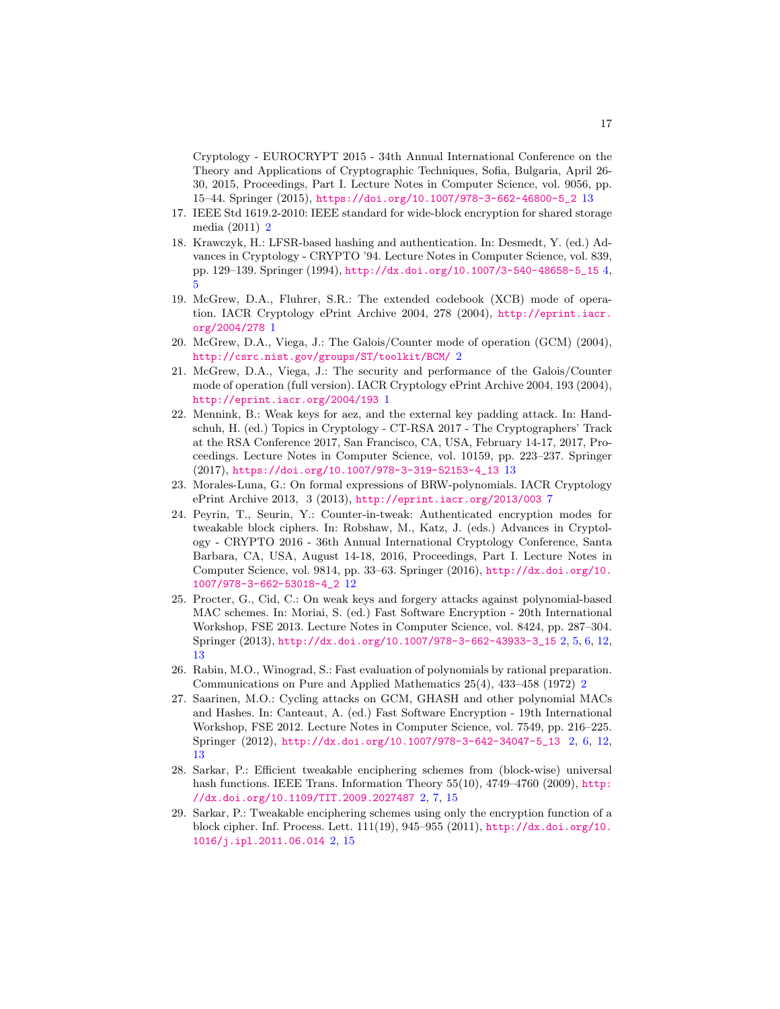Cryptology - EUROCRYPT 2015 - 34th Annual International Conference on the Theory and Applications of Cryptographic Techniques, Sofia, Bulgaria, April 26- 30, 2015, Proceedings, Part I. Lecture Notes in Computer Science, vol. 9056, pp. 15–44. Springer (2015), [https://doi.org/10.1007/978-3-662-46800-5\\_2](https://doi.org/10.1007/978-3-662-46800-5_2) [13](#page-12-2)

- <span id="page-16-5"></span>17. IEEE Std 1619.2-2010: IEEE standard for wide-block encryption for shared storage media (2011) [2](#page-1-0)
- <span id="page-16-9"></span>18. Krawczyk, H.: LFSR-based hashing and authentication. In: Desmedt, Y. (ed.) Advances in Cryptology - CRYPTO '94. Lecture Notes in Computer Science, vol. 839, pp. 129–139. Springer (1994), [http://dx.doi.org/10.1007/3-540-48658-5\\_15](http://dx.doi.org/10.1007/3-540-48658-5_15) [4,](#page-3-0) [5](#page-4-0)
- <span id="page-16-0"></span>19. McGrew, D.A., Fluhrer, S.R.: The extended codebook (XCB) mode of operation. IACR Cryptology ePrint Archive 2004, 278 (2004), [http://eprint.iacr.](http://eprint.iacr.org/2004/278) [org/2004/278](http://eprint.iacr.org/2004/278) [1](#page-0-0)
- <span id="page-16-4"></span>20. McGrew, D.A., Viega, J.: The Galois/Counter mode of operation (GCM) (2004), <http://csrc.nist.gov/groups/ST/toolkit/BCM/> [2](#page-1-0)
- <span id="page-16-1"></span>21. McGrew, D.A., Viega, J.: The security and performance of the Galois/Counter mode of operation (full version). IACR Cryptology ePrint Archive 2004, 193 (2004), <http://eprint.iacr.org/2004/193> [1](#page-0-0)
- <span id="page-16-12"></span>22. Mennink, B.: Weak keys for aez, and the external key padding attack. In: Handschuh, H. (ed.) Topics in Cryptology - CT-RSA 2017 - The Cryptographers' Track at the RSA Conference 2017, San Francisco, CA, USA, February 14-17, 2017, Proceedings. Lecture Notes in Computer Science, vol. 10159, pp. 223–237. Springer (2017), [https://doi.org/10.1007/978-3-319-52153-4\\_13](https://doi.org/10.1007/978-3-319-52153-4_13) [13](#page-12-2)
- <span id="page-16-10"></span>23. Morales-Luna, G.: On formal expressions of BRW-polynomials. IACR Cryptology ePrint Archive 2013, 3 (2013), <http://eprint.iacr.org/2013/003> [7](#page-6-1)
- <span id="page-16-11"></span>24. Peyrin, T., Seurin, Y.: Counter-in-tweak: Authenticated encryption modes for tweakable block ciphers. In: Robshaw, M., Katz, J. (eds.) Advances in Cryptology - CRYPTO 2016 - 36th Annual International Cryptology Conference, Santa Barbara, CA, USA, August 14-18, 2016, Proceedings, Part I. Lecture Notes in Computer Science, vol. 9814, pp. 33–63. Springer (2016), [http://dx.doi.org/10.](http://dx.doi.org/10.1007/978-3-662-53018-4_2) [1007/978-3-662-53018-4\\_2](http://dx.doi.org/10.1007/978-3-662-53018-4_2) [12](#page-11-1)
- <span id="page-16-3"></span>25. Procter, G., Cid, C.: On weak keys and forgery attacks against polynomial-based MAC schemes. In: Moriai, S. (ed.) Fast Software Encryption - 20th International Workshop, FSE 2013. Lecture Notes in Computer Science, vol. 8424, pp. 287–304. Springer (2013), [http://dx.doi.org/10.1007/978-3-662-43933-3\\_15](http://dx.doi.org/10.1007/978-3-662-43933-3_15) [2,](#page-1-0) [5,](#page-4-0) [6,](#page-5-2) [12,](#page-11-1) [13](#page-12-2)
- <span id="page-16-6"></span>26. Rabin, M.O., Winograd, S.: Fast evaluation of polynomials by rational preparation. Communications on Pure and Applied Mathematics 25(4), 433–458 (1972) [2](#page-1-0)
- <span id="page-16-2"></span>27. Saarinen, M.O.: Cycling attacks on GCM, GHASH and other polynomial MACs and Hashes. In: Canteaut, A. (ed.) Fast Software Encryption - 19th International Workshop, FSE 2012. Lecture Notes in Computer Science, vol. 7549, pp. 216–225. Springer (2012), [http://dx.doi.org/10.1007/978-3-642-34047-5\\_13](http://dx.doi.org/10.1007/978-3-642-34047-5_13) [2,](#page-1-0) [6,](#page-5-2) [12,](#page-11-1) [13](#page-12-2)
- <span id="page-16-7"></span>28. Sarkar, P.: Efficient tweakable enciphering schemes from (block-wise) universal hash functions. IEEE Trans. Information Theory 55(10), 4749–4760 (2009), [http:](http://dx.doi.org/10.1109/TIT.2009.2027487) [//dx.doi.org/10.1109/TIT.2009.2027487](http://dx.doi.org/10.1109/TIT.2009.2027487) [2,](#page-1-0) [7,](#page-6-1) [15](#page-14-2)
- <span id="page-16-8"></span>29. Sarkar, P.: Tweakable enciphering schemes using only the encryption function of a block cipher. Inf. Process. Lett. 111(19), 945–955 (2011), [http://dx.doi.org/10.](http://dx.doi.org/10.1016/j.ipl.2011.06.014) [1016/j.ipl.2011.06.014](http://dx.doi.org/10.1016/j.ipl.2011.06.014) [2,](#page-1-0) [15](#page-14-2)